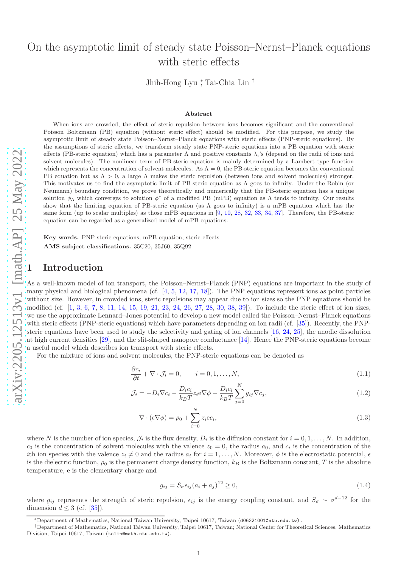# On the asymptotic limit of steady state Poisson–Nernst–Planck equations with steric effects

Jhih-Hong Lyu ∗ , Tai-Chia Lin †

#### Abstract

When ions are crowded, the effect of steric repulsion between ions becomes significant and the conventional Poisson–Boltzmann (PB) equation (without steric effect) should be modified. For this purpose, we study the asymptotic limit of steady state Poisson–Nernst–Planck equations with steric effects (PNP-steric equations). By the assumptions of steric effects, we transform steady state PNP-steric equations into a PB equation with steric effects (PB-steric equation) which has a parameter  $\Lambda$  and positive constants  $\lambda_i$ 's (depend on the radii of ions and solvent molecules). The nonlinear term of PB-steric equation is mainly determined by a Lambert type function which represents the concentration of solvent molecules. As  $\Lambda = 0$ , the PB-steric equation becomes the conventional PB equation but as  $\Lambda > 0$ , a large  $\Lambda$  makes the steric repulsion (between ions and solvent molecules) stronger. This motivates us to find the asymptotic limit of PB-steric equation as  $\Lambda$  goes to infinity. Under the Robin (or Neumann) boundary condition, we prove theoretically and numerically that the PB-steric equation has a unique solution  $\phi_{\Lambda}$  which converges to solution  $\phi^*$  of a modified PB (mPB) equation as  $\Lambda$  tends to infinity. Our results show that the limiting equation of PB-steric equation (as  $\Lambda$  goes to infinity) is a mPB equation which has the same form (up to scalar multiples) as those mPB equations in  $[9, 10, 28, 32, 33, 34, 37]$  $[9, 10, 28, 32, 33, 34, 37]$  $[9, 10, 28, 32, 33, 34, 37]$  $[9, 10, 28, 32, 33, 34, 37]$  $[9, 10, 28, 32, 33, 34, 37]$  $[9, 10, 28, 32, 33, 34, 37]$  $[9, 10, 28, 32, 33, 34, 37]$  $[9, 10, 28, 32, 33, 34, 37]$  $[9, 10, 28, 32, 33, 34, 37]$  $[9, 10, 28, 32, 33, 34, 37]$  $[9, 10, 28, 32, 33, 34, 37]$  $[9, 10, 28, 32, 33, 34, 37]$  $[9, 10, 28, 32, 33, 34, 37]$  $[9, 10, 28, 32, 33, 34, 37]$ . Therefore, the PB-steric equation can be regarded as a generalized model of mPB equations.

Key words. PNP-steric equations, mPB equation, steric effects AMS subject classifications. 35C20, 35J60, 35Q92

## **Introduction**

As a well-known model of ion transport, the Poisson–Nernst–Planck (PNP) equations are important in the study of many physical and biological phenomena (cf.  $[4, 5, 12, 17, 18]$  $[4, 5, 12, 17, 18]$  $[4, 5, 12, 17, 18]$  $[4, 5, 12, 17, 18]$  $[4, 5, 12, 17, 18]$  $[4, 5, 12, 17, 18]$  $[4, 5, 12, 17, 18]$  $[4, 5, 12, 17, 18]$  $[4, 5, 12, 17, 18]$  $[4, 5, 12, 17, 18]$ ). The PNP equations represent ions as point particles without size. However, in crowded ions, steric repulsions may appear due to ion sizes so the PNP equations should be modified (cf. [[1](#page-19-7), [3](#page-19-8), [6](#page-19-9), [7](#page-19-10), [8](#page-19-11), [11](#page-19-12), [14](#page-19-13), [15](#page-19-14), [19](#page-19-15), [21](#page-19-16), [23](#page-19-17), [24](#page-19-18), [26](#page-20-5), [27](#page-20-6), [28](#page-20-0), [30](#page-20-7), [38](#page-20-8), [39\]](#page-20-9)). To include the steric effect of ion sizes, we use the approximate Lennard–Jones potential to develop a new model called the Poisson–Nernst–Planck equations with steric effects (PNP-steric equations) which have parameters depending on ion radii (cf. [\[35\]](#page-20-10)). Recently, the PNPsteric equations have been used to study the selectivity and gating of ion channels  $[16, 24, 25]$  $[16, 24, 25]$  $[16, 24, 25]$  $[16, 24, 25]$ , the anodic dissolution at high current densities [\[29\]](#page-20-12), and the slit-shaped nanopore conductance [\[14\]](#page-19-13). Hence the PNP-steric equations become a useful model which describes ion transport with steric effects.

For the mixture of ions and solvent molecules, the PNP-steric equations can be denoted as

<span id="page-0-0"></span>
$$
\frac{\partial c_i}{\partial t} + \nabla \cdot \mathcal{J}_i = 0, \qquad i = 0, 1, \dots, N,
$$
\n(1.1)

$$
\mathcal{J}_i = -D_i \nabla c_i - \frac{D_i c_i}{k_B T} z_i e \nabla \phi - \frac{D_i c_i}{k_B T} \sum_{j=0}^N g_{ij} \nabla c_j,\tag{1.2}
$$

$$
-\nabla \cdot (\epsilon \nabla \phi) = \rho_0 + \sum_{i=0}^{N} z_i e_{i}, \qquad (1.3)
$$

where N is the number of ion species,  $\mathcal{J}_i$  is the flux density,  $D_i$  is the diffusion constant for  $i = 0, 1, \ldots, N$ . In addition,  $c_0$  is the concentration of solvent molecules with the valence  $z_0 = 0$ , the radius  $a_0$ , and  $c_i$  is the concentration of the ith ion species with the valence  $z_i \neq 0$  and the radius  $a_i$  for  $i = 1, \ldots, N$ . Moreover,  $\phi$  is the electrostatic potential,  $\epsilon$ is the dielectric function,  $\rho_0$  is the permanent charge density function,  $k_B$  is the Boltzmann constant, T is the absolute temperature, e is the elementary charge and

<span id="page-0-3"></span><span id="page-0-2"></span><span id="page-0-1"></span>
$$
g_{ij} = S_{\sigma} \epsilon_{ij} (a_i + a_j)^{12} \ge 0,
$$
\n(1.4)

where  $g_{ij}$  represents the strength of steric repulsion,  $\epsilon_{ij}$  is the energy coupling constant, and  $S_{\sigma} \sim \sigma^{d-12}$  for the dimension  $d \leq 3$  (cf. [\[35\]](#page-20-10)).

<sup>∗</sup>Department of Mathematics, National Taiwan University, Taipei 10617, Taiwan (d06221001@ntu.edu.tw).

<sup>†</sup>Department of Mathematics, National Taiwan University, Taipei 10617, Taiwan; National Center for Theoretical Sciences, Mathematics Division, Taipei 10617, Taiwan (tclin@math.ntu.edu.tw).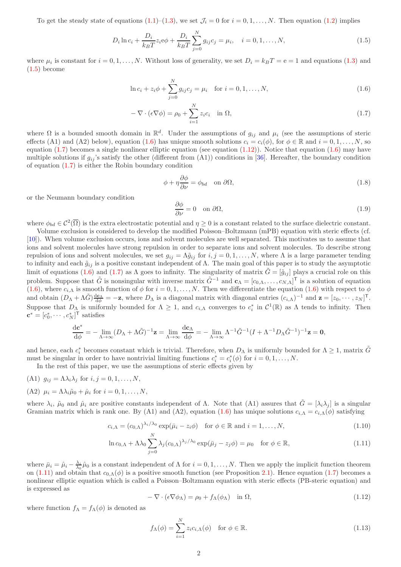To get the steady state of equations  $(1.1)$ – $(1.3)$ , we set  $\mathcal{J}_i = 0$  for  $i = 0, 1, \ldots, N$ . Then equation  $(1.2)$  implies

<span id="page-1-0"></span>
$$
D_i \ln c_i + \frac{D_i}{k_B T} z_i e \phi + \frac{D_i}{k_B T} \sum_{j=0}^{N} g_{ij} c_j = \mu_i, \quad i = 0, 1, ..., N,
$$
\n(1.5)

where  $\mu_i$  is constant for  $i = 0, 1, ..., N$ . Without loss of generality, we set  $D_i = k_B T = e = 1$  and equations [\(1.3\)](#page-0-1) and  $(1.5)$  become

$$
\ln c_i + z_i \phi + \sum_{j=0}^{N} g_{ij} c_j = \mu_i \quad \text{for } i = 0, 1, ..., N,
$$
\n(1.6)

$$
-\nabla \cdot (\epsilon \nabla \phi) = \rho_0 + \sum_{i=1}^{N} z_i c_i \quad \text{in } \Omega,
$$
\n(1.7)

where  $\Omega$  is a bounded smooth domain in  $\mathbb{R}^d$ . Under the assumptions of  $g_{ij}$  and  $\mu_i$  (see the assumptions of steric effects (A1) and (A2) below), equation [\(1.6\)](#page-1-1) has unique smooth solutions  $c_i = c_i(\phi)$ , for  $\phi \in \mathbb{R}$  and  $i = 0, 1, ..., N$ , so equation  $(1.7)$  becomes a single nonlinear elliptic equation (see equation  $(1.12)$ ). Notice that equation  $(1.6)$  may have multiple solutions if  $g_{ij}$ 's satisfy the other (different from  $(A1)$ ) conditions in [\[36\]](#page-20-13). Hereafter, the boundary condition of equation  $(1.7)$  is either the Robin boundary condition

<span id="page-1-7"></span><span id="page-1-2"></span><span id="page-1-1"></span>
$$
\phi + \eta \frac{\partial \phi}{\partial \nu} = \phi_{bd} \quad \text{on } \partial \Omega,
$$
\n(1.8)

or the Neumann boundary condition

<span id="page-1-8"></span>
$$
\frac{\partial \phi}{\partial \nu} = 0 \quad \text{on } \partial \Omega,\tag{1.9}
$$

where  $\phi_{bd} \in C^2(\overline{\Omega})$  is the extra electrostatic potential and  $\eta \geq 0$  is a constant related to the surface dielectric constant.

Volume exclusion is considered to develop the modified Poisson–Boltzmann (mPB) equation with steric effects (cf. [\[10\]](#page-19-1)). When volume exclusion occurs, ions and solvent molecules are well separated. This motivates us to assume that ions and solvent molecules have strong repulsion in order to separate ions and solvent molecules. To describe strong repulsion of ions and solvent molecules, we set  $g_{ij} = \Lambda \tilde{g}_{ij}$  for  $i, j = 0, 1, ..., N$ , where  $\Lambda$  is a large parameter tending to infinity and each  $\tilde{g}_{ij}$  is a positive constant independent of  $\Lambda$ . The main goal of this paper is to study the asymptotic limit of equations [\(1.6\)](#page-1-1) and [\(1.7\)](#page-1-2) as  $\Lambda$  goes to infinity. The singularity of matrix  $\tilde{G} = [\tilde{g}_{ij}]$  plays a crucial role on this problem. Suppose that  $\tilde{G}$  is nonsingular with inverse matrix  $\tilde{G}^{-1}$  and  $\mathbf{c}_{\Lambda} = [c_{0,\Lambda}, \ldots, c_{N,\Lambda}]^{\mathsf{T}}$  is a solution of equation  $(1.6)$ , where  $c_{i,\Lambda}$  is smooth function of  $\phi$  for  $i = 0, 1, \ldots, N$ . Then we differentiate the equation  $(1.6)$  with respect to  $\phi$ and obtain  $(D_\Lambda + \Lambda \tilde{G}) \frac{d\mathbf{c}_\Lambda}{d\phi} = -\mathbf{z}$ , where  $D_\Lambda$  is a diagonal matrix with diagonal entries  $(c_{i,\Lambda})^{-1}$  and  $\mathbf{z} = [z_0, \cdots, z_N]^\mathsf{T}$ . Suppose that  $D_{\Lambda}$  is uniformly bounded for  $\Lambda \geq 1$ , and  $c_{i,\Lambda}$  converges to  $c_i^*$  in  $\mathcal{C}^1(\mathbb{R})$  as  $\Lambda$  tends to infinity. Then  $\mathbf{c}^* = [c_0^*, \cdots, c_N^*]^{\mathsf{T}}$  satisfies

$$
\frac{\mathrm{d}\mathbf{c}^*}{\mathrm{d}\phi} = -\lim_{\Lambda \to \infty} (D_{\Lambda} + \Lambda \tilde{G})^{-1} \mathbf{z} = \lim_{\Lambda \to \infty} \frac{\mathrm{d}\mathbf{c}_{\Lambda}}{\mathrm{d}\phi} = -\lim_{\Lambda \to \infty} \Lambda^{-1} \tilde{G}^{-1} (I + \Lambda^{-1} D_{\Lambda} \tilde{G}^{-1})^{-1} \mathbf{z} = \mathbf{0},
$$

and hence, each  $c_i^*$  becomes constant which is trivial. Therefore, when  $D_\Lambda$  is uniformly bounded for  $\Lambda \geq 1$ , matrix  $\tilde{G}$ must be singular in order to have nontrivial limiting functions  $c_i^* = c_i^*(\phi)$  for  $i = 0, 1, ..., N$ .

In the rest of this paper, we use the assumptions of steric effects given by

(A1)  $g_{ij} = \Lambda \lambda_i \lambda_j$  for  $i, j = 0, 1, \ldots, N$ ,  $(A2)$   $\mu_i = \Lambda \lambda_i \tilde{\mu}_0 + \hat{\mu}_i$  for  $i = 0, 1, \ldots, N$ ,

where  $\lambda_i$ ,  $\tilde{\mu}_0$  and  $\hat{\mu}_i$  are positive constants independent of  $\Lambda$ . Note that  $(A1)$  assures that  $\tilde{G} = [\lambda_i \lambda_j]$  is a singular Gramian matrix which is rank one. By (A1) and (A2), equation [\(1.6\)](#page-1-1) has unique solutions  $c_{i,\Lambda} = c_{i,\Lambda}(\phi)$  satisfying

$$
c_{i,\Lambda} = (c_{0,\Lambda})^{\lambda_i/\lambda_0} \exp(\bar{\mu}_i - z_i \phi) \quad \text{for } \phi \in \mathbb{R} \text{ and } i = 1,\dots,N,
$$
\n(1.10)

$$
\ln c_{0,\Lambda} + \Lambda \lambda_0 \sum_{j=0}^{N} \lambda_j (c_{0,\Lambda})^{\lambda_j/\lambda_0} \exp(\bar{\mu}_j - z_j \phi) = \mu_0 \quad \text{for } \phi \in \mathbb{R}, \tag{1.11}
$$

where  $\bar{\mu}_i = \hat{\mu}_i - \frac{\lambda_i}{\lambda_0} \hat{\mu}_0$  is a constant independent of  $\Lambda$  for  $i = 0, 1, ..., N$ . Then we apply the implicit function theorem on [\(1.11\)](#page-1-4) and obtain that  $c_{0,\Lambda}(\phi)$  is a positive smooth function (see Proposition [2.1\)](#page-4-0). Hence equation [\(1.7\)](#page-1-2) becomes a nonlinear elliptic equation which is called a Poisson–Boltzmann equation with steric effects (PB-steric equation) and is expressed as

<span id="page-1-6"></span><span id="page-1-4"></span><span id="page-1-3"></span>
$$
-\nabla \cdot (\epsilon \nabla \phi_{\Lambda}) = \rho_0 + f_{\Lambda}(\phi_{\Lambda}) \quad \text{in } \Omega,
$$
\n(1.12)

where function  $f_{\Lambda} = f_{\Lambda}(\phi)$  is denoted as

<span id="page-1-5"></span>
$$
f_{\Lambda}(\phi) = \sum_{i=1}^{N} z_i c_{i,\Lambda}(\phi) \quad \text{for } \phi \in \mathbb{R}.
$$
 (1.13)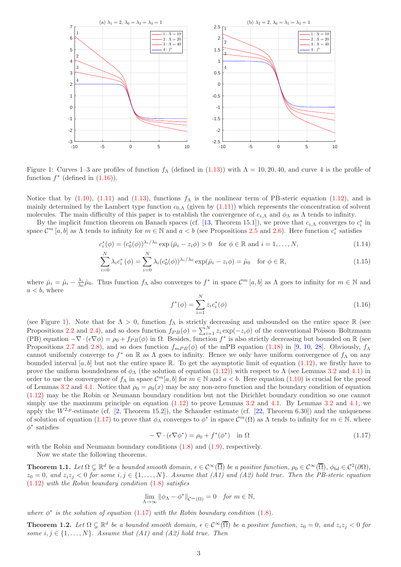

<span id="page-2-1"></span>Figure 1: Curves 1–3 are profiles of function  $f_\Lambda$  (defined in [\(1.13\)](#page-1-5)) with  $\Lambda = 10, 20, 40$ , and curve 4 is the profile of function  $f^*$  (defined in  $(1.16)$ ).

Notice that by [\(1.10\)](#page-1-6), [\(1.11\)](#page-1-4) and [\(1.13\)](#page-1-5), functions  $f_A$  is the nonlinear term of PB-steric equation [\(1.12\)](#page-1-3), and is mainly determined by the Lambert type function  $c_{0,\Lambda}$  (given by  $(1.11)$ ) which represents the concentration of solvent molecules. The main difficulty of this paper is to establish the convergence of  $c_{i,\Lambda}$  and  $\phi_{\Lambda}$  as  $\Lambda$  tends to infinity.

By the implicit function theorem on Banach spaces (cf. [\[13,](#page-19-20) Theorem 15.1]), we prove that  $c_{i,\Lambda}$  converges to  $c_i^*$  in space  $\mathcal{C}^m$  [a, b] as  $\Lambda$  tends to infinity for  $m \in \mathbb{N}$  and  $a < b$  (see Propositions [2.5](#page-6-0) and [2.6\)](#page-6-1). Here function  $c_i^*$  satisfies

$$
c_i^*(\phi) = (c_0^*(\phi))^{\lambda_i/\lambda_0} \exp\left(\bar{\mu}_i - z_i\phi\right) > 0 \quad \text{for } \phi \in \mathbb{R} \text{ and } i = 1, \dots, N,\tag{1.14}
$$

$$
\sum_{i=0}^{N} \lambda_i c_i^* \left(\phi\right) = \sum_{i=0}^{N} \lambda_i (c_0^*(\phi))^{\lambda_i/\lambda_0} \exp(\bar{\mu}_i - z_i \phi) = \tilde{\mu}_0 \quad \text{for } \phi \in \mathbb{R},\tag{1.15}
$$

where  $\bar{\mu}_i = \hat{\mu}_i - \frac{\lambda_i}{\lambda_0} \hat{\mu}_0$ . Thus function  $f_\Lambda$  also converges to  $f^*$  in space  $\mathcal{C}^m[a, b]$  as  $\Lambda$  goes to infinity for  $m \in \mathbb{N}$  and  $a < b$ , where

<span id="page-2-4"></span><span id="page-2-3"></span><span id="page-2-0"></span>
$$
f^*(\phi) = \sum_{i=1}^N z_i c_i^*(\phi)
$$
\n(1.16)

(see Figure [1\)](#page-2-1). Note that for  $\Lambda > 0$ , function  $f_{\Lambda}$  is strictly decreasing and unbounded on the entire space R (see Propositions [2.2](#page-4-1) and [2.4\)](#page-5-0), and so does function  $f_{PB}(\phi) = \sum_{i=1}^{N} z_i \exp(-z_i \phi)$  of the conventional Poisson–Boltzmann (PB) equation  $-\nabla \cdot (\epsilon \nabla \phi) = \rho_0 + f_{PB}(\phi)$  in  $\Omega$ . Besides, function  $f^*$  is also strictly decreasing but bounded on R (see Propositions [2.7](#page-7-0) and [2.8\)](#page-7-1), and so does function  $f_{mPB}(\phi)$  of the mPB equation [\(1.18\)](#page-3-0) in [\[9,](#page-19-0) [10,](#page-19-1) [28\]](#page-20-0). Obviously,  $f_{\Lambda}$ cannot uniformly converge to  $f^*$  on R as  $\Lambda$  goes to infinity. Hence we only have uniform convergence of  $f_\Lambda$  on any bounded interval [a, b] but not the entire space R. To get the asymptotic limit of equation  $(1.12)$ , we firstly have to prove the uniform boundedness of  $\phi_{\Lambda}$  (the solution of equation [\(1.12\)](#page-1-3)) with respect to  $\Lambda$  (see Lemmas [3.2](#page-8-0) and [4.1\)](#page-11-0) in order to use the convergence of  $f_{\Lambda}$  in space  $\mathcal{C}^m[a,b]$  for  $m \in \mathbb{N}$  and  $a < b$ . Here equation  $(1.10)$  is crucial for the proof of Lemmas [3.2](#page-8-0) and [4.1.](#page-11-0) Notice that  $\rho_0 = \rho_0(x)$  may be any non-zero function and the boundary condition of equation [\(1.12\)](#page-1-3) may be the Robin or Neumann boundary condition but not the Dirichlet boundary condition so one cannot simply use the maximum principle on equation  $(1.12)$  to prove Lemmas [3.2](#page-8-0) and [4.1.](#page-11-0) By Lemmas 3.2 and [4.1,](#page-11-0) we apply the  $W^{2,p}$ -estimate (cf. [\[2,](#page-19-21) Theorem 15.2]), the Schauder estimate (cf. [\[22,](#page-19-22) Theorem 6.30]) and the uniqueness of solution of equation [\(1.17\)](#page-2-2) to prove that  $\phi_{\Lambda}$  converges to  $\phi^*$  in space  $\mathcal{C}^m(\Omega)$  as  $\Lambda$  tends to infinity for  $m \in \mathbb{N}$ , where  $\phi^*$  satisfies

<span id="page-2-2"></span>
$$
-\nabla \cdot (\epsilon \nabla \phi^*) = \rho_0 + f^*(\phi^*) \quad \text{in } \Omega \tag{1.17}
$$

with the Robin and Neumann boundary conditions  $(1.8)$  and  $(1.9)$ , respectively.

Now we state the following theorems.

<span id="page-2-5"></span>**Theorem 1.1.** Let  $\Omega \subsetneq \mathbb{R}^d$  be a bounded smooth domain,  $\epsilon \in C^{\infty}(\overline{\Omega})$  be a positive function,  $\rho_0 \in C^{\infty}(\overline{\Omega})$ ,  $\phi_{bd} \in C^2(\partial \Omega)$ ,  $z_0 = 0$ , and  $z_i z_j < 0$  for some  $i, j \in \{1, ..., N\}$ . Assume that (A1) and (A2) hold true. Then the PB-steric equation [\(1.12\)](#page-1-3) with the Robin boundary condition [\(1.8\)](#page-1-7) satisfies

$$
\lim_{\Lambda \to \infty} \|\phi_{\Lambda} - \phi^*\|_{\mathcal{C}^m(\Omega)} = 0 \quad \text{for } m \in \mathbb{N},
$$

where  $\phi^*$  is the solution of equation [\(1.17\)](#page-2-2) with the Robin boundary condition [\(1.8\)](#page-1-7).

<span id="page-2-6"></span>**Theorem 1.2.** Let  $\Omega \subsetneq \mathbb{R}^d$  be a bounded smooth domain,  $\epsilon \in C^\infty(\overline{\Omega})$  be a positive function,  $z_0 = 0$ , and  $z_i z_j < 0$  for some  $i, j \in \{1, \ldots, N\}$ . Assume that (A1) and (A2) hold true. Then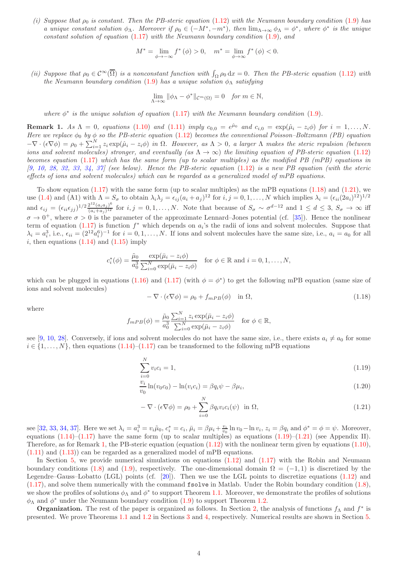(i) Suppose that  $\rho_0$  is constant. Then the PB-steric equation [\(1.12\)](#page-1-3) with the Neumann boundary condition [\(1.9\)](#page-1-8) has a unique constant solution  $\phi_{\Lambda}$ . Moreover if  $\rho_0 \in (-M^*, -m^*)$ , then  $\lim_{\Lambda \to \infty} \phi_{\Lambda} = \phi^*$ , where  $\phi^*$  is the unique constant solution of equation  $(1.17)$  with the Neumann boundary condition  $(1.9)$ , and

$$
M^* = \lim_{\phi \to -\infty} f^*(\phi) > 0, \quad m^* = \lim_{\phi \to \infty} f^*(\phi) < 0.
$$

(ii) Suppose that  $\rho_0 \in C^{\infty}(\overline{\Omega})$  is a nonconstant function with  $\int_{\Omega} \rho_0 dx = 0$ . Then the PB-steric equation [\(1.12\)](#page-1-3) with the Neumann boundary condition [\(1.9\)](#page-1-8) has a unique solution  $\phi_{\Lambda}$  satisfying

$$
\lim_{\Lambda \to \infty} \|\phi_{\Lambda} - \phi^*\|_{\mathcal{C}^m(\Omega)} = 0 \quad \text{for } m \in \mathbb{N},
$$

where  $\phi^*$  is the unique solution of equation [\(1.17\)](#page-2-2) with the Neumann boundary condition [\(1.9\)](#page-1-8).

<span id="page-3-3"></span>**Remark 1.** As  $\Lambda = 0$ , equations [\(1.10\)](#page-1-6) and [\(1.11\)](#page-1-4) imply  $c_{0,0} = e^{\hat{\mu}_0}$  and  $c_{i,0} = \exp(\hat{\mu}_i - z_i \phi)$  for  $i = 1, \ldots, N$ . Here we replace  $\phi_0$  by  $\phi$  so the PB-steric equation [\(1.12\)](#page-1-3) becomes the conventional Poisson–Boltzmann (PB) equation  $-\nabla \cdot (\epsilon \nabla \phi) = \rho_0 + \sum_{i=1}^N z_i \exp(\hat{\mu}_i - z_i \phi)$  in  $\Omega$ . However, as  $\Lambda > 0$ , a larger  $\Lambda$  makes the steric repulsion (between ions and solvent molecules) stronger, and eventually (as  $\Lambda \to \infty$ ) the limiting equation of PB-steric equation [\(1.12\)](#page-1-3) becomes equation [\(1.17\)](#page-2-2) which has the same form (up to scalar multiples) as the modified PB (mPB) equations in  $[9, 10, 28, 32, 33, 34, 37]$  $[9, 10, 28, 32, 33, 34, 37]$  $[9, 10, 28, 32, 33, 34, 37]$  $[9, 10, 28, 32, 33, 34, 37]$  $[9, 10, 28, 32, 33, 34, 37]$  $[9, 10, 28, 32, 33, 34, 37]$  $[9, 10, 28, 32, 33, 34, 37]$  $[9, 10, 28, 32, 33, 34, 37]$  $[9, 10, 28, 32, 33, 34, 37]$  $[9, 10, 28, 32, 33, 34, 37]$  $[9, 10, 28, 32, 33, 34, 37]$  $[9, 10, 28, 32, 33, 34, 37]$  $[9, 10, 28, 32, 33, 34, 37]$  (see below). Hence the PB-steric equation  $(1.12)$  is a new PB equation (with the steric effects of ions and solvent molecules) which can be regarded as a generalized model of mPB equations.

To show equation  $(1.17)$  with the same form (up to scalar multiples) as the mPB equations  $(1.18)$  and  $(1.21)$ , we use [\(1.4\)](#page-0-3) and (A1) with  $\Lambda = S_{\sigma}$  to obtain  $\lambda_i \lambda_j = \epsilon_{ij} (a_i + a_j)^{12}$  for  $i, j = 0, 1, ..., N$  which implies  $\lambda_i = (\epsilon_{ii} (2a_i)^{12})^{1/2}$ and  $\epsilon_{ij} = (\epsilon_{ii}\epsilon_{jj})^{1/2} \frac{2^{12}(a_i a_j)^6}{(a_i+a_i)^{12}}$  $\frac{(a_i+a_j)^{\sigma}}{(a_i+a_j)^{12}}$  for  $i, j = 0, 1, \ldots, N$ . Note that because of  $S_{\sigma} \sim \sigma^{d-12}$  and  $1 \leq d \leq 3$ ,  $S_{\sigma} \to \infty$  iff  $\sigma \to 0^+$ , where  $\sigma > 0$  is the parameter of the approximate Lennard–Jones potential (cf. [\[35\]](#page-20-10)). Hence the nonlinear term of equation [\(1.17\)](#page-2-2) is function  $f^*$  which depends on  $a_i$ 's the radii of ions and solvent molecules. Suppose that  $\lambda_i = a_i^3$ , i.e.,  $\epsilon_{ii} = (2^{12}a_i^6)^{-1}$  for  $i = 0, 1, ..., N$ . If ions and solvent molecules have the same size, i.e.,  $a_i = a_0$  for all i, then equations  $(1.14)$  and  $(1.15)$  imply

$$
c_i^*(\phi) = \frac{\tilde{\mu}_0}{a_0^3} \frac{\exp(\bar{\mu}_i - z_i \phi)}{\sum_{i=0}^N \exp(\bar{\mu}_i - z_i \phi)}
$$
 for  $\phi \in \mathbb{R}$  and  $i = 0, 1, ..., N$ ,

which can be plugged in equations [\(1.16\)](#page-2-0) and [\(1.17\)](#page-2-2) (with  $\phi = \phi^*$ ) to get the following mPB equation (same size of ions and solvent molecules)

<span id="page-3-0"></span>
$$
-\nabla \cdot (\epsilon \nabla \phi) = \rho_0 + f_{mPB}(\phi) \quad \text{in } \Omega,
$$
\n(1.18)

where

$$
f_{mPB}(\phi) = \frac{\tilde{\mu}_0}{a_0^3} \frac{\sum_{i=1}^N z_i \exp(\bar{\mu}_i - z_i \phi)}{\sum_{i=0}^N \exp(\bar{\mu}_i - z_i \phi)} \quad \text{for } \phi \in \mathbb{R},
$$

see [\[9,](#page-19-0) [10,](#page-19-1) [28\]](#page-20-0). Conversely, if ions and solvent molecules do not have the same size, i.e., there exists  $a_i \neq a_0$  for some  $i \in \{1, \ldots, N\}$ , then equations  $(1.14)$ – $(1.17)$  can be transformed to the following mPB equations

<span id="page-3-2"></span>
$$
\sum_{i=0}^{N} v_i c_i = 1,\tag{1.19}
$$

$$
\frac{v_i}{v_0} \ln(v_0 c_0) - \ln(v_i c_i) = \beta q_i \psi - \beta \mu_i,
$$
\n(1.20)

<span id="page-3-1"></span>
$$
-\nabla \cdot (\epsilon \nabla \phi) = \rho_0 + \sum_{i=0}^{N} \beta q_i v_i c_i(\psi) \text{ in } \Omega,
$$
\n(1.21)

see [\[32,](#page-20-1) [33,](#page-20-2) [34,](#page-20-3) [37\]](#page-20-4). Here we set  $\lambda_i = a_i^3 = v_i \tilde{\mu}_0$ ,  $c_i^* = c_i$ ,  $\bar{\mu}_i = \beta \mu_i + \frac{v_i}{v_0} \ln v_0 - \ln v_i$ ,  $z_i = \beta q_i$  and  $\phi^* = \phi = \psi$ . Moreover, equations  $(1.14)$ – $(1.17)$  have the same form (up to scalar multiples) as equations  $(1.19)$ – $(1.21)$  (see Appendix II). Therefore, as for Remark [1,](#page-3-3) the PB-steric equation (equation [\(1.12\)](#page-1-3) with the nonlinear term given by equations [\(1.10\)](#page-1-6), [\(1.11\)](#page-1-4) and [\(1.13\)](#page-1-5)) can be regarded as a generalized model of mPB equations.

In Section [5,](#page-13-0) we provide numerical simulations on equations  $(1.12)$  and  $(1.17)$  with the Robin and Neumann boundary conditions [\(1.8\)](#page-1-7) and [\(1.9\)](#page-1-8), respectively. The one-dimensional domain  $\Omega = (-1,1)$  is discretized by the Legendre–Gauss–Lobatto (LGL) points (cf. [\[20\]](#page-19-23)). Then we use the LGL points to discretize equations [\(1.12\)](#page-1-3) and [\(1.17\)](#page-2-2), and solve them numerically with the command fsolve in Matlab. Under the Robin boundary condition [\(1.8\)](#page-1-7), we show the profiles of solutions  $\phi_{\Lambda}$  and  $\phi^*$  to support Theorem [1.1.](#page-2-5) Moreover, we demonstrate the profiles of solutions  $\phi_{\Lambda}$  and  $\phi^*$  under the Neumann boundary condition [\(1.9\)](#page-1-8) to support Theorem [1.2.](#page-2-6)

**Organization.** The rest of the paper is organized as follows. In Section [2,](#page-4-2) the analysis of functions  $f_{\Lambda}$  and  $f^*$  is presented. We prove Theorems [1.1](#page-2-5) and [1.2](#page-2-6) in Sections [3](#page-8-1) and [4,](#page-10-0) respectively. Numerical results are shown in Section [5.](#page-13-0)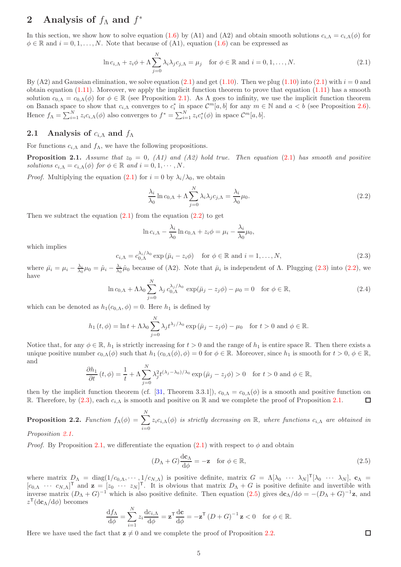# <span id="page-4-2"></span>2 Analysis of  $f_{\Lambda}$  and  $f^*$

In this section, we show how to solve equation [\(1.6\)](#page-1-1) by (A1) and (A2) and obtain smooth solutions  $c_{i,\Lambda} = c_{i,\Lambda}(\phi)$  for  $\phi \in \mathbb{R}$  and  $i = 0, 1, \ldots, N$ . Note that because of (A1), equation [\(1.6\)](#page-1-1) can be expressed as

<span id="page-4-3"></span>
$$
\ln c_{i,\Lambda} + z_i \phi + \Lambda \sum_{j=0}^{N} \lambda_i \lambda_j c_{j,\Lambda} = \mu_j \quad \text{for } \phi \in \mathbb{R} \text{ and } i = 0, 1, ..., N. \tag{2.1}
$$

By (A2) and Gaussian elimination, we solve equation [\(2.1\)](#page-4-3) and get [\(1.10\)](#page-1-6). Then we plug (1.10) into (2.1) with  $i = 0$  and obtain equation  $(1.11)$ . Moreover, we apply the implicit function theorem to prove that equation  $(1.11)$  has a smooth solution  $c_{0,\Lambda} = c_{0,\Lambda}(\phi)$  for  $\phi \in \mathbb{R}$  (see Proposition [2.1\)](#page-4-0). As  $\Lambda$  goes to infinity, we use the implicit function theorem on Banach space to show that  $c_{i,\Lambda}$  converges to  $c_i^*$  in space  $\mathcal{C}^m[a,b]$  for any  $m \in \mathbb{N}$  and  $a < b$  (see Proposition [2.6\)](#page-6-1). Hence  $f_{\Lambda} = \sum_{i=1}^{N} z_i c_{i,\Lambda}(\phi)$  also converges to  $f^* = \sum_{i=1}^{N} z_i c_i^*(\phi)$  in space  $\mathcal{C}^m[a, b]$ .

## 2.1 Analysis of  $c_{i\Lambda}$  and  $f_{\Lambda}$

For functions  $c_{i,\Lambda}$  and  $f_{\Lambda}$ , we have the following propositions.

<span id="page-4-0"></span>**Proposition 2.1.** Assume that  $z_0 = 0$ , (A1) and (A2) hold true. Then equation [\(2.1\)](#page-4-3) has smooth and positive solutions  $c_{i,\Lambda} = c_{i,\Lambda}(\phi)$  for  $\phi \in \mathbb{R}$  and  $i = 0, 1, \cdots, N$ .

*Proof.* Multiplying the equation [\(2.1\)](#page-4-3) for  $i = 0$  by  $\lambda_i/\lambda_0$ , we obtain

<span id="page-4-4"></span>
$$
\frac{\lambda_i}{\lambda_0} \ln c_{0,\Lambda} + \Lambda \sum_{j=0}^N \lambda_i \lambda_j c_{j,\Lambda} = \frac{\lambda_i}{\lambda_0} \mu_0.
$$
\n(2.2)

Then we subtract the equation  $(2.1)$  from the equation  $(2.2)$  to get

$$
\ln c_{i,\Lambda} - \frac{\lambda_i}{\lambda_0} \ln c_{0,\Lambda} + z_i \phi = \mu_i - \frac{\lambda_i}{\lambda_0} \mu_0,
$$

which implies

<span id="page-4-5"></span>
$$
c_{i,\Lambda} = c_{0,\Lambda}^{\lambda_i/\lambda_0} \exp\left(\bar{\mu}_i - z_i \phi\right) \quad \text{for } \phi \in \mathbb{R} \text{ and } i = 1, \dots, N,
$$
\n
$$
(2.3)
$$

where  $\bar{\mu}_i = \mu_i - \frac{\lambda_i}{\lambda_0} \mu_0 = \hat{\mu}_i - \frac{\lambda_i}{\lambda_0} \hat{\mu}_0$  because of (A2). Note that  $\bar{\mu}_i$  is independent of  $\Lambda$ . Plugging [\(2.3\)](#page-4-5) into [\(2.2\)](#page-4-4), we have N

<span id="page-4-7"></span>
$$
\ln c_{0,\Lambda} + \Lambda \lambda_0 \sum_{j=0}^{N} \lambda_j c_{0,\Lambda}^{\lambda_j/\lambda_0} \exp(\bar{\mu}_j - z_j \phi) - \mu_0 = 0 \quad \text{for } \phi \in \mathbb{R}, \tag{2.4}
$$

which can be denoted as  $h_1(c_{0,\Lambda}, \phi) = 0$ . Here  $h_1$  is defined by

$$
h_1(t,\phi) = \ln t + \Lambda \lambda_0 \sum_{j=0}^{N} \lambda_j t^{\lambda_j/\lambda_0} \exp\left(\bar{\mu}_j - z_j \phi\right) - \mu_0 \quad \text{for } t > 0 \text{ and } \phi \in \mathbb{R}.
$$

Notice that, for any  $\phi \in \mathbb{R}$ ,  $h_1$  is strictly increasing for  $t > 0$  and the range of  $h_1$  is entire space  $\mathbb{R}$ . Then there exists a unique positive number  $c_{0,\Lambda}(\phi)$  such that  $h_1(c_{0,\Lambda}(\phi), \phi) = 0$  for  $\phi \in \mathbb{R}$ . Moreover, since  $h_1$  is smooth for  $t > 0$ ,  $\phi \in \mathbb{R}$ , and

$$
\frac{\partial h_1}{\partial t}(t,\phi) = \frac{1}{t} + \Lambda \sum_{j=0}^{N} \lambda_j^2 t^{(\lambda_j - \lambda_0)/\lambda_0} \exp\left(\bar{\mu}_j - z_j \phi\right) > 0 \quad \text{for } t > 0 \text{ and } \phi \in \mathbb{R},
$$

then by the implicit function theorem (cf. [\[31,](#page-20-14) Theorem 3.3.1]),  $c_{0,\Lambda} = c_{0,\Lambda}(\phi)$  is a smooth and positive function on R. Therefore, by [\(2.3\)](#page-4-5), each  $c_{i,\Lambda}$  is smooth and positive on R and we complete the proof of Proposition [2.1.](#page-4-0)  $\Box$ 

<span id="page-4-1"></span>**Proposition 2.2.** Function  $f_{\Lambda}(\phi) = \sum$ N  $i=0$  $z_i c_{i,\Lambda}(\phi)$  is strictly decreasing on R, where functions  $c_{i,\Lambda}$  are obtained in

Proposition [2.1.](#page-4-0)

*Proof.* By Proposition [2.1,](#page-4-0) we differentiate the equation [\(2.1\)](#page-4-3) with respect to  $\phi$  and obtain

<span id="page-4-6"></span>
$$
(D_{\Lambda} + G) \frac{d\mathbf{c}_{\Lambda}}{d\phi} = -\mathbf{z} \quad \text{for } \phi \in \mathbb{R}, \tag{2.5}
$$

where matrix  $D_{\Lambda} = \text{diag}(1/c_{0,\Lambda}, \cdots, 1/c_{N,\Lambda})$  is positive definite, matrix  $G = \Lambda[\lambda_0 \cdots \lambda_N]^\mathsf{T}[\lambda_0 \cdots \lambda_N]$ ,  $\mathbf{c}_{\Lambda} =$  $[c_{0,\Lambda} \cdots c_{N,\Lambda}]^{\text{T}}$  and  $\mathbf{z} = [z_0 \cdots z_N]^{\text{T}}$ . It is obvious that matrix  $D_{\Lambda} + G$  is positive definite and invertible with inverse matrix  $(D_\Lambda + G)^{-1}$  which is also positive definite. Then equation  $(2.5)$  gives  $d\mathbf{c}_\Lambda/d\phi = -(D_\Lambda + G)^{-1}\mathbf{z}$ , and  $z^{\mathsf{T}}(\mathrm{d}\mathbf{c}_{\Lambda}/\mathrm{d}\phi)$  becomes

$$
\frac{\mathrm{d}f_{\Lambda}}{\mathrm{d}\phi} = \sum_{i=1}^{N} z_i \frac{\mathrm{d}c_{i,\Lambda}}{\mathrm{d}\phi} = \mathbf{z}^{\mathsf{T}} \frac{\mathrm{d}\mathbf{c}}{\mathrm{d}\phi} = -\mathbf{z}^{\mathsf{T}} \left(D + G\right)^{-1} \mathbf{z} < 0 \quad \text{for } \phi \in \mathbb{R}.
$$

Here we have used the fact that  $z \neq 0$  and we complete the proof of Proposition [2.2.](#page-4-1)

5

 $\Box$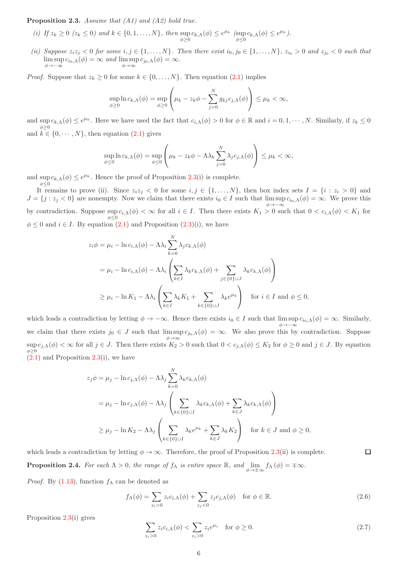<span id="page-5-1"></span>**Proposition 2.3.** Assume that  $(A1)$  and  $(A2)$  hold true.

- (i) If  $z_k \ge 0$  ( $z_k \le 0$ ) and  $k \in \{0, 1, ..., N\}$ , then  $\sup_{\phi \ge 0} c_{k,\Lambda}(\phi) \le e^{\mu_k}$  ( $\sup_{\phi \le 0} c_{k,\Lambda}(\phi) \le e^{\mu_k}$ ).
- (ii) Suppose  $z_iz_j < 0$  for some  $i, j \in \{1, ..., N\}$ . Then there exist  $i_0, j_0 \in \{1, ..., N\}$ ,  $z_{i_0} > 0$  and  $z_{j_0} < 0$  such that lim sup  $c_{i_0,\Lambda}(\phi) = \infty$  and lim sup  $c_{j_0,\Lambda}(\phi) = \infty$ .<br>  $\phi \rightarrow \infty$

*Proof.* Suppose that  $z_k \geq 0$  for some  $k \in \{0, ..., N\}$ . Then equation [\(2.1\)](#page-4-3) implies

$$
\sup_{\phi\geq 0} \ln c_{k,\Lambda}(\phi) = \sup_{\phi\geq 0} \left( \mu_k - z_k \phi - \sum_{j=0}^N g_{kj} c_{j,\Lambda}(\phi) \right) \leq \mu_k < \infty,
$$

and sup  $c_{k,\Lambda}(\phi) \leq e^{\mu_k}$ . Here we have used the fact that  $c_{i,\Lambda}(\phi) > 0$  for  $\phi \in \mathbb{R}$  and  $i = 0, 1, \cdots, N$ . Similarly, if  $z_k \leq 0$  $\phi \geq 0$ and  $k \in \{0, \dots, N\}$ , then equation  $(2.1)$  gives

$$
\sup_{\phi\leq 0}\ln c_{k,\Lambda}(\phi)=\sup_{\phi\leq 0}\left(\mu_k-z_k\phi-\Lambda\lambda_k\sum_{j=0}^N\lambda_jc_{j,\Lambda}(\phi)\right)\leq\mu_k<\infty,
$$

and sup  $c_{k,\Lambda}(\phi) \leq e^{\mu_k}$ . Hence the proof of Proposition [2.3\(](#page-5-1)i) is complete.  $\phi \leq 0$ 

It remains to prove (ii). Since  $z_iz_j < 0$  for some  $i, j \in \{1, \ldots, N\}$ , then box index sets  $I = \{i : z_i > 0\}$  and  $J = \{j : z_j < 0\}$  are nonempty. Now we claim that there exists  $i_0 \in I$  such that  $\limsup_{\phi \to -\infty} c_{i_0,\Lambda}(\phi) = \infty$ . We prove this by contradiction. Suppose  $\sup_{\phi \leq 0} c_{i,\Lambda}(\phi) < \infty$  for all  $i \in I$ . Then there exists  $K_1 > 0$  such that  $0 < c_{i,\Lambda}(\phi) < K_1$  for  $\phi \leq 0$  and  $i \in I$ . By equation [\(2.1\)](#page-4-3) and Proposition [\(2.3\)](#page-4-5)(i), we have

$$
z_i \phi = \mu_i - \ln c_{i,\Lambda}(\phi) - \Lambda \lambda_i \sum_{k=0}^N \lambda_j c_{k,\Lambda}(\phi)
$$
  
=  $\mu_i - \ln c_{i,\Lambda}(\phi) - \Lambda \lambda_i \left( \sum_{k \in I} \lambda_k c_{k,\Lambda}(\phi) + \sum_{j \in \{0\} \cup J} \lambda_k c_{k,\Lambda}(\phi) \right)$   
 $\geq \mu_i - \ln K_1 - \Lambda \lambda_i \left( \sum_{k \in I} \lambda_k K_1 + \sum_{k \in \{0\} \cup J} \lambda_k e^{\mu_k} \right)$  for  $i \in I$  and  $\phi \leq 0$ ,

which leads a contradiction by letting  $\phi \to -\infty$ . Hence there exists  $i_0 \in I$  such that  $\limsup c_{i_0,\Lambda}(\phi) = \infty$ . Similarly, φ→−∞ we claim that there exists  $j_0 \in J$  such that  $\limsup c_{j_0,\Lambda}(\phi) = \infty$ . We also prove this by contradiction. Suppose  $\phi \rightarrow \infty$  $\sup c_{j,\Lambda}(\phi) < \infty$  for all  $j \in J$ . Then there exists  $K_2 > 0$  such that  $0 < c_{j,\Lambda}(\phi) \leq K_2$  for  $\phi \geq 0$  and  $j \in J$ . By equation  $\phi \geq 0$  $(2.1)$  and Proposition  $2.3(i)$  $2.3(i)$ , we have

$$
z_j \phi = \mu_j - \ln c_{j,\Lambda}(\phi) - \Lambda \lambda_j \sum_{k=0}^N \lambda_k c_{k,\Lambda}(\phi)
$$
  
=  $\mu_j - \ln c_{j,\Lambda}(\phi) - \Lambda \lambda_j \left( \sum_{k \in \{0\} \cup I} \lambda_k c_{k,\Lambda}(\phi) + \sum_{k \in J} \lambda_k c_{k,\Lambda}(\phi) \right)$   
 $\ge \mu_j - \ln K_2 - \Lambda \lambda_j \left( \sum_{k \in \{0\} \cup I} \lambda_k e^{\mu_k} + \sum_{k \in J} \lambda_k K_2 \right)$  for  $k \in J$  and  $\phi \ge 0$ ,

<span id="page-5-0"></span>which leads a contradiction by letting  $\phi \to \infty$ . Therefore, the proof of Proposition [2.3\(](#page-5-1)ii) is complete.  $\Box$ **Proposition 2.4.** For each  $\Lambda > 0$ , the range of  $f_{\Lambda}$  is entire space  $\mathbb{R}$ , and  $\lim_{\phi \to \pm \infty} f_{\Lambda}(\phi) = \pm \infty$ .

*Proof.* By  $(1.13)$ , function  $f_{\Lambda}$  can be denoted as

<span id="page-5-2"></span>
$$
f_{\Lambda}(\phi) = \sum_{z_i > 0} z_i c_{i,\Lambda}(\phi) + \sum_{z_j < 0} z_j c_{j,\Lambda}(\phi) \quad \text{for } \phi \in \mathbb{R}.
$$
 (2.6)

Proposition [2.3\(](#page-5-1)i) gives

<span id="page-5-3"></span>
$$
\sum_{z_i>0} z_i c_{i,\Lambda}(\phi) < \sum_{z_i>0} z_i e^{\mu_i} \quad \text{for } \phi \ge 0. \tag{2.7}
$$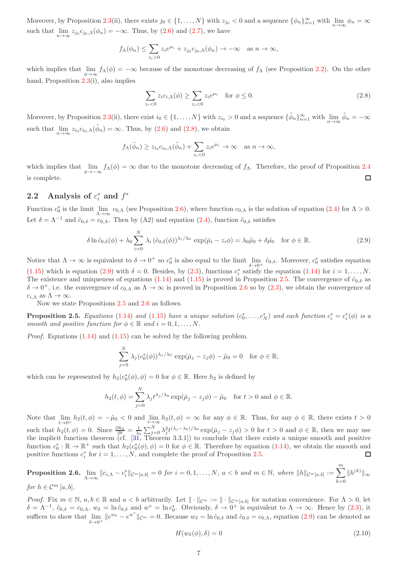Moreover, by Proposition [2.3\(](#page-5-1)ii), there exists  $j_0 \in \{1, ..., N\}$  with  $z_{j_0} < 0$  and a sequence  $\{\phi_n\}_{n=1}^{\infty}$  with  $\lim_{n \to \infty} \phi_n = \infty$ such that  $\lim_{n\to\infty} z_{j_0} c_{j_0,\Lambda}(\phi_n) = -\infty$ . Thus, by [\(2.6\)](#page-5-2) and [\(2.7\)](#page-5-3), we have

$$
f_{\Lambda}(\phi_n) \le \sum_{z_i>0} z_i e^{\mu_i} + z_{j_0} c_{j_0,\Lambda}(\phi_n) \to -\infty \text{ as } n \to \infty,
$$

which implies that  $\lim_{\phi \to \infty} f_{\Lambda}(\phi) = -\infty$  because of the monotone decreasing of  $f_{\Lambda}$  (see Proposition [2.2\)](#page-4-1). On the other hand, Proposition [2.3\(](#page-5-1)i), also implies

<span id="page-6-2"></span>
$$
\sum_{z_i < 0} z_i c_{i,\Lambda}(\phi) \ge \sum_{z_i < 0} z_i e^{\mu_i} \quad \text{for } \phi \le 0. \tag{2.8}
$$

Moreover, by Proposition [2.3\(](#page-5-1)ii), there exist  $i_0 \in \{1, ..., N\}$  with  $z_{i_0} > 0$  and a sequence  $\{\tilde{\phi}_n\}_{n=1}^{\infty}$  with  $\lim_{n \to \infty} \tilde{\phi}_n = -\infty$ such that  $\lim_{n\to\infty} z_{i_0} c_{i_0,\Lambda}(\tilde{\phi}_n) = \infty$ . Thus, by [\(2.6\)](#page-5-2) and [\(2.8\)](#page-6-2), we obtain

$$
f_{\Lambda}(\tilde{\phi}_n) \ge z_{i_0} c_{i_0,\Lambda}(\tilde{\phi}_n) + \sum_{z_i < 0} z_i e^{\mu_i} \to \infty \text{ as } n \to \infty,
$$

which implies that  $\lim_{\phi \to -\infty} f_{\Lambda}(\phi) = \infty$  due to the monotone decreasing of  $f_{\Lambda}$ . Therefore, the proof of Proposition [2.4](#page-5-0) is complete.  $\Box$ 

# 2.2 Analysis of  $c_i^*$  and  $f^*$

Function  $c_0^*$  is the limit  $\lim_{\Lambda \to \infty} c_{0,\Lambda}$  (see Proposition [2.6\)](#page-6-1), where function  $c_{0,\Lambda}$  is the solution of equation [\(2.4\)](#page-4-7) for  $\Lambda > 0$ . Let  $\delta = \Lambda^{-1}$  and  $\tilde{c}_{0,\delta} = c_{0,\Lambda}$ . Then by (A2) and equation [\(2.4\)](#page-4-7), function  $\tilde{c}_{0,\delta}$  satisfies

<span id="page-6-3"></span>
$$
\delta \ln \tilde{c}_{0,\delta}(\phi) + \lambda_0 \sum_{i=0}^{N} \lambda_i \left( \tilde{c}_{0,\delta}(\phi) \right)^{\lambda_i/\lambda_0} \exp(\bar{\mu}_i - z_i \phi) = \lambda_0 \tilde{\mu}_0 + \delta \hat{\mu}_0 \quad \text{for } \phi \in \mathbb{R}.
$$
 (2.9)

Notice that  $\Lambda \to \infty$  is equivalent to  $\delta \to 0^+$  so  $c_0^*$  is also equal to the limit  $\lim_{\delta \to 0^+} \tilde{c}_{0,\delta}$ . Moreover,  $c_0^*$  satisfies equation [\(1.15\)](#page-2-4) which is equation [\(2.9\)](#page-6-3) with  $\delta = 0$ . Besides, by [\(2.3\)](#page-4-5), functions  $c_i^*$  satisfy the equation [\(1.14\)](#page-2-3) for  $i = 1, ..., N$ . The existence and uniqueness of equations [\(1.14\)](#page-2-3) and [\(1.15\)](#page-2-4) is proved in Proposition [2.5.](#page-6-0) The convergence of  $\tilde{c}_{0,\delta}$  as  $\delta \to 0^+$ , i.e. the convergence of  $c_{0,\Lambda}$  as  $\Lambda \to \infty$  is proved in Proposition [2.6](#page-6-1) so by [\(2.3\)](#page-4-5), we obtain the convergence of  $c_{i,\Lambda}$  as  $\Lambda \to \infty$ .

Now we state Propositions [2.5](#page-6-0) and [2.6](#page-6-1) as follows.

<span id="page-6-0"></span>**Proposition 2.5.** Equations [\(1.14\)](#page-2-3) and [\(1.15\)](#page-2-4) have a unique solution  $(c_0^*,...,c_N^*)$  and each function  $c_i^* = c_i^*(\phi)$  is a smooth and positive function for  $\phi \in \mathbb{R}$  and  $i = 0, 1, ..., N$ .

*Proof.* Equations  $(1.14)$  and  $(1.15)$  can be solved by the following problem.

$$
\sum_{j=0}^{N} \lambda_j (c_0^*(\phi))^{\lambda_j/\lambda_0} \exp(\bar{\mu}_j - z_j \phi) - \tilde{\mu}_0 = 0 \text{ for } \phi \in \mathbb{R},
$$

which can be represented by  $h_2(c_0^*(\phi), \phi) = 0$  for  $\phi \in \mathbb{R}$ . Here  $h_2$  is defined by

$$
h_2(t,\phi) = \sum_{j=0}^{N} \lambda_j t^{\lambda_j/\lambda_0} \exp(\bar{\mu}_j - z_j \phi) - \tilde{\mu}_0 \quad \text{for } t > 0 \text{ and } \phi \in \mathbb{R}.
$$

Note that  $\lim_{t\to 0^+} h_2(t,\phi) = -\tilde{\mu}_0 < 0$  and  $\lim_{t\to\infty} h_2(t,\phi) = \infty$  for any  $\phi \in \mathbb{R}$ . Thus, for any  $\phi \in \mathbb{R}$ , there exists  $t > 0$ such that  $h_2(t, \phi) = 0$ . Since  $\frac{\partial h_2}{\partial t} = \frac{1}{\lambda_0} \sum_{j=0}^N \lambda_j^2 t^{(\lambda_j - \lambda_0)/\lambda_0} \exp(\bar{\mu}_j - z_j \phi) > 0$  for  $t > 0$  and  $\phi \in \mathbb{R}$ , then we may use the implicit function theorem (cf. [\[31,](#page-20-14) Theorem 3.3.1]) to conclude that there exists a unique smooth and positive function  $c_0^*: \mathbb{R} \to \mathbb{R}^+$  such that  $h_2(c_0^*(\phi), \phi) = 0$  for  $\phi \in \mathbb{R}$ . Therefore by equation  $(1.14)$ , we obtain the smooth and positive functions  $c_i^*$  for  $i = 1, ..., N$ , and complete the proof of Proposition [2.5.](#page-6-0)  $\Box$ 

<span id="page-6-1"></span>**Proposition 2.6.**  $\lim_{\Lambda\to\infty}||c_{i,\Lambda}-c_i^*||_{\mathcal{C}^m[a,b]}=0$  for  $i=0,1,\ldots,N, a < b$  and  $m \in \mathbb{N}$ , where  $||h||_{\mathcal{C}^m[a,b]}:=\sum_{i=0}^m$  $k=0$  $||h^{(k)}||_{\infty}$ for  $h \in \mathcal{C}^m$  [a, b].

*Proof.* Fix  $m \in \mathbb{N}$ ,  $a, b \in \mathbb{R}$  and  $a < b$  arbitrarily. Let  $\|\cdot\|_{\mathcal{C}^m} := \|\cdot\|_{\mathcal{C}^m[a,b]}$  for notation convenience. For  $\Lambda > 0$ , let  $\delta = \Lambda^{-1}$ ,  $\tilde{c}_{0,\delta} = c_{0,\Lambda}$ ,  $w_{\delta} = \ln \tilde{c}_{0,\delta}$  and  $w^* = \ln c_0^*$ . Obviously,  $\delta \to 0^+$  is equivalent to  $\Lambda \to \infty$ . Hence by [\(2.3\)](#page-4-5), it suffices to show that  $\lim_{\delta \to 0^+} ||e^{w_\delta} - e^{w^*}||_{\mathcal{C}^m} = 0$ . Because  $w_\delta = \ln \tilde{c}_{0,\delta}$  and  $\tilde{c}_{0,\delta} = c_{0,\Lambda}$ , equation [\(2.9\)](#page-6-3) can be denoted as

<span id="page-6-4"></span>
$$
H(w_{\delta}(\phi), \delta) = 0 \tag{2.10}
$$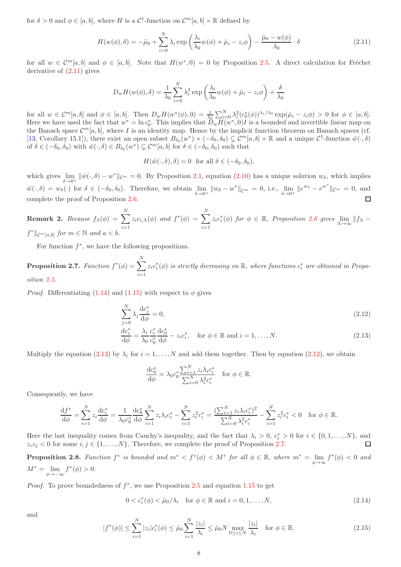for  $\delta > 0$  and  $\phi \in [a, b]$ , where H is a  $\mathcal{C}^1$ -function on  $\mathcal{C}^m[a, b] \times \mathbb{R}$  defined by

<span id="page-7-2"></span>
$$
H(w(\phi), \delta) = -\tilde{\mu}_0 + \sum_{i=0}^{N} \lambda_i \exp\left(\frac{\lambda_i}{\lambda_0} w(\phi) + \bar{\mu}_i - z_i \phi\right) - \frac{\hat{\mu}_0 - w(\phi)}{\lambda_0} \cdot \delta \tag{2.11}
$$

for all  $w \in C^m[a,b]$  and  $\phi \in [a,b]$ . Note that  $H(w^*,0) = 0$  by Proposition [2.5.](#page-6-0) A direct calculation for Fréchet derivative of [\(2.11\)](#page-7-2) gives

$$
D_w H(w(\phi), \delta) = \frac{1}{\lambda_0} \sum_{i=0}^N \lambda_i^2 \exp\left(\frac{\lambda_i}{\lambda_0} w(\phi) + \bar{\mu}_i - z_i \phi\right) + \frac{\delta}{\lambda_0}
$$

for all  $w \in C^m[a, b]$  and  $\phi \in [a, b]$ . Then  $D_w H(w^*(\phi), 0) = \frac{1}{\lambda_0} \sum_{i=0}^N \lambda_i^2 (c_0^*(\phi))^{\lambda_i/\lambda_0} \exp(\bar{\mu}_i - z_i \phi) > 0$  for  $\phi \in [a, b]$ . Here we have used the fact that  $w^* = \ln c_0^*$ . This implies that  $\ddot{D}_w H(w^*, 0)I$  is a bounded and invertible linear map on the Banach space  $\mathcal{C}^m[a,b]$ , where I is an identity map. Hence by the implicit function theorem on Banach spaces (cf. [\[13,](#page-19-20) Corollary 15.1]), there exist an open subset  $B_{\delta_0}(w^*) \times (-\delta_0, \delta_0) \subsetneq C^m[a, b] \times \mathbb{R}$  and a unique  $C^1$ -function  $\tilde{w}(\cdot, \delta)$ of  $\delta \in (-\delta_0, \delta_0)$  with  $\tilde{w}(\cdot, \delta) \in B_{\delta_0}(w^*) \subsetneq \mathcal{C}^m[a, b]$  for  $\delta \in (-\delta_0, \delta_0)$  such that

$$
H(\tilde{w}(\cdot,\delta),\delta) = 0 \text{ for all } \delta \in (-\delta_0,\delta_0),
$$

which gives  $\lim_{\delta \to 0^+} ||\tilde{w}(\cdot,\delta) - w^*||_{\mathcal{C}^m} = 0$ . By Proposition [2.1,](#page-4-0) equation [\(2.10\)](#page-6-4) has a unique solution  $w_{\delta}$ , which implies  $\tilde{w}(\cdot,\delta) = w_{\delta}(\cdot)$  for  $\delta \in (-\delta_0, \delta_0)$ . Therefore, we obtain  $\lim_{\delta \to 0^+} ||w_{\delta} - w^*||_{\mathcal{C}^m} = 0$ , i.e.,  $\lim_{\delta \to 0^+} ||e^{w_{\delta}} - e^{w^*}||_{\mathcal{C}^m} = 0$ , and  $\Box$ complete the proof of Proposition [2.6.](#page-6-1)

<span id="page-7-7"></span>**Remark 2.** Because 
$$
f_{\Lambda}(\phi) = \sum_{i=1}^{N} z_i c_{i,\Lambda}(\phi)
$$
 and  $f^*(\phi) = \sum_{i=1}^{N} z_i c_i^*(\phi)$  for  $\phi \in \mathbb{R}$ , Proposition 2.6 gives  $\lim_{\Lambda \to \infty} ||f_{\Lambda} - f^*||_{\mathcal{C}^m[a,b]}$  for  $m \in \mathbb{N}$  and  $a < b$ .

For function  $f^*$ , we have the following propositions.

<span id="page-7-0"></span>**Proposition 2.7.** Function  $f^*(\phi) = \sum$ N  $i=1$  $z_i c_i^*(\phi)$  is strictly decreasing on  $\mathbb R$ , where functions  $c_i^*$  are obtained in Proposition [2.5.](#page-6-0)

*Proof.* Differentiating [\(1.14\)](#page-2-3) and [\(1.15\)](#page-2-4) with respect to  $\phi$  gives

$$
\sum_{j=0}^{N} \lambda_j \frac{\mathrm{d}c_j^*}{\mathrm{d}\phi} = 0,\tag{2.12}
$$

$$
\frac{\mathrm{d}c_i^*}{\mathrm{d}\phi} = \frac{\lambda_i}{\lambda_0} \frac{c_i^*}{c_0^*} \frac{\mathrm{d}c_0^*}{\mathrm{d}\phi} - z_i c_i^*, \quad \text{for } \phi \in \mathbb{R} \text{ and } i = 1, \dots, N. \tag{2.13}
$$

Multiply the equation [\(2.13\)](#page-7-3) by  $\lambda_i$  for  $i = 1, ..., N$  and add them together. Then by equation [\(2.12\)](#page-7-4), we obtain

<span id="page-7-4"></span><span id="page-7-3"></span>
$$
\frac{\mathrm{d}c_0^*}{\mathrm{d}\phi} = \lambda_0 c_0^* \frac{\sum_{i=1}^N z_i \lambda_i c_i^*}{\sum_{i=0}^N \lambda_i^2 c_i^*} \quad \text{for } \phi \in \mathbb{R}.
$$

Consequently, we have

$$
\frac{\mathrm{d}f^*}{\mathrm{d}\phi} = \sum_{i=1}^N z_i \frac{\mathrm{d}c_i^*}{\mathrm{d}\phi} = \frac{1}{\lambda_0 c_0^*} \frac{\mathrm{d}c_0^*}{\mathrm{d}\phi} \sum_{i=1}^N z_i \lambda_i c_i^* - \sum_{i=1}^N z_i^2 c_i^* = \frac{(\sum_{i=1}^N z_i \lambda_i c_i^*)^2}{\sum_{i=0}^N \lambda_i^2 c_i^*} - \sum_{i=1}^N z_i^2 c_i^* < 0 \quad \text{for } \phi \in \mathbb{R}.
$$

Here the last inequality comes from Cauchy's inequality, and the fact that  $\lambda_i > 0$ ,  $c_i^* > 0$  for  $i \in \{0, 1, ..., N\}$ , and  $z_iz_j < 0$  for some  $i, j \in \{1, \ldots, N\}$ . Therefore, we complete the proof of Proposition [2.7.](#page-7-0)

<span id="page-7-1"></span>**Proposition 2.8.** Function  $f^*$  is bounded and  $m^* < f^*(\phi) < M^*$  for all  $\phi \in \mathbb{R}$ , where  $m^* = \lim_{\phi \to \infty} f^*(\phi) < 0$  and  $M^* = \lim_{\phi \to -\infty} f^*(\phi) > 0.$ 

*Proof.* To prove boundedness of  $f^*$ , we use Proposition [2.5](#page-6-0) and equation [1.15](#page-2-4) to get

<span id="page-7-6"></span>
$$
0 < c_i^*(\phi) < \tilde{\mu}_0 / \lambda_i \quad \text{for } \phi \in \mathbb{R} \text{ and } i = 0, 1, \dots, N,\tag{2.14}
$$

and

<span id="page-7-5"></span>
$$
|f^*(\phi)| \le \sum_{i=1}^N |z_i| c_i^*(\phi) \le \tilde{\mu}_0 \sum_{i=1}^N \frac{|z_i|}{\lambda_i} \le \tilde{\mu}_0 N \max_{0 \le i \le N} \frac{|z_i|}{\lambda_i} \quad \text{for } \phi \in \mathbb{R}.
$$
 (2.15)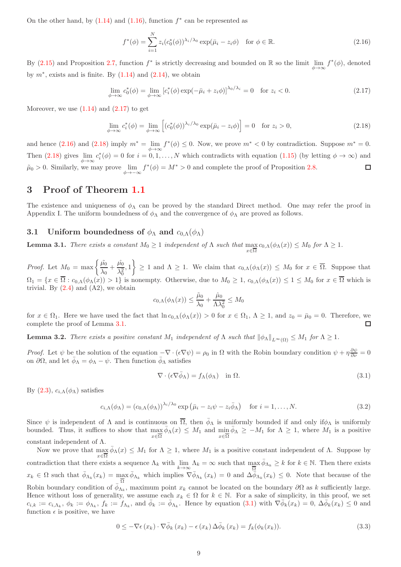On the other hand, by  $(1.14)$  and  $(1.16)$ , function  $f^*$  can be represented as

<span id="page-8-3"></span>
$$
f^*(\phi) = \sum_{i=1}^N z_i (c_0^*(\phi))^{\lambda_i/\lambda_0} \exp(\bar{\mu}_i - z_i \phi) \quad \text{for } \phi \in \mathbb{R}.
$$
 (2.16)

By [\(2.15\)](#page-7-5) and Proposition [2.7,](#page-7-0) function  $f^*$  is strictly decreasing and bounded on R so the limit lim  $f^*(\phi)$ , denoted φ→∞ by  $m^*$ , exists and is finite. By  $(1.14)$  and  $(2.14)$ , we obtain

<span id="page-8-2"></span>
$$
\lim_{\phi \to \infty} c_0^*(\phi) = \lim_{\phi \to \infty} \left[ c_i^*(\phi) \exp(-\bar{\mu}_i + z_i \phi) \right]^{\lambda_0/\lambda_i} = 0 \quad \text{for } z_i < 0. \tag{2.17}
$$

Moreover, we use  $(1.14)$  and  $(2.17)$  to get

<span id="page-8-4"></span>
$$
\lim_{\phi \to \infty} c_i^*(\phi) = \lim_{\phi \to \infty} \left[ (c_0^*(\phi))^{\lambda_i/\lambda_0} \exp(\bar{\mu}_i - z_i \phi) \right] = 0 \quad \text{for } z_i > 0,
$$
\n(2.18)

and hence  $(2.16)$  and  $(2.18)$  imply  $m^* = \lim_{\phi \to \infty} f^*(\phi) \leq 0$ . Now, we prove  $m^* < 0$  by contradiction. Suppose  $m^* = 0$ . Then  $(2.18)$  gives  $\lim_{\phi \to \infty} c_i^*(\phi) = 0$  for  $i = 0, 1, ..., N$  which contradicts with equation  $(1.15)$  (by letting  $\phi \to \infty$ ) and  $\tilde{\mu}_0 > 0$ . Similarly, we may prove  $\lim_{\phi \to -\infty} f^*(\phi) = M^* > 0$  and complete the proof of Proposition [2.8.](#page-7-1)  $\Box$ 

## <span id="page-8-1"></span>3 Proof of Theorem [1.1](#page-2-5)

The existence and uniqueness of  $\phi_{\Lambda}$  can be proved by the standard Direct method. One may refer the proof in Appendix I. The uniform boundedness of  $\phi_{\Lambda}$  and the convergence of  $\phi_{\Lambda}$  are proved as follows.

### <span id="page-8-9"></span>3.1 Uniform boundedness of  $\phi_{\Lambda}$  and  $c_{0,\Lambda}(\phi_{\Lambda})$

<span id="page-8-5"></span>**Lemma 3.1.** There exists a constant  $M_0 \ge 1$  independent of  $\Lambda$  such that  $\max_{x \in \overline{\Omega}} c_{0,\Lambda}(\phi_\Lambda(x)) \le M_0$  for  $\Lambda \ge 1$ .

*Proof.* Let  $M_0 = \max \left\{ \frac{\tilde{\mu_0}}{N} \right\}$  $\frac{\tilde{\mu_0}}{\lambda_0}+\frac{\hat{\mu_0}}{\lambda_0^2}$  $\left\{\frac{\hat{\mu}_0}{\lambda_0^2},1\right\} \geq 1$  and  $\Lambda \geq 1$ . We claim that  $c_{0,\Lambda}(\phi_\Lambda(x)) \leq M_0$  for  $x \in \overline{\Omega}$ . Suppose that  $\Omega_1 = \{x \in \overline{\Omega} : c_{0,\Lambda}(\phi_{\Lambda}(x)) > 1\}$  is nonempty. Otherwise, due to  $M_0 \geq 1$ ,  $c_{0,\Lambda}(\phi_{\Lambda}(x)) \leq 1 \leq M_0$  for  $x \in \overline{\Omega}$  which is trivial. By  $(2.4)$  and  $(A2)$ , we obtain

$$
c_{0,\Lambda}(\phi_{\Lambda}(x)) \leq \frac{\tilde{\mu}_0}{\lambda_0} + \frac{\hat{\mu}_0}{\Lambda \lambda_0^2} \leq M_0
$$

for  $x \in \Omega_1$ . Here we have used the fact that  $\ln c_{0,\Lambda}(\phi_\Lambda(x)) > 0$  for  $x \in \Omega_1$ ,  $\Lambda \geq 1$ , and  $z_0 = \bar{\mu}_0 = 0$ . Therefore, we complete the proof of Lemma [3.1.](#page-8-5) □

<span id="page-8-0"></span>**Lemma 3.2.** There exists a positive constant  $M_1$  independent of  $\Lambda$  such that  $\|\phi_{\Lambda}\|_{L^{\infty}(\Omega)} \leq M_1$  for  $\Lambda \geq 1$ .

Proof. Let  $\psi$  be the solution of the equation  $-\nabla \cdot (\epsilon \nabla \psi) = \rho_0$  in  $\Omega$  with the Robin boundary condition  $\psi + \eta \frac{\partial \psi}{\partial \nu} = 0$ on  $\partial\Omega$ , and let  $\bar{\phi}_{\Lambda} = \phi_{\Lambda} - \psi$ . Then function  $\bar{\phi}_{\Lambda}$  satisfies

<span id="page-8-6"></span>
$$
\nabla \cdot (\epsilon \nabla \bar{\phi}_{\Lambda}) = f_{\Lambda}(\phi_{\Lambda}) \quad \text{in } \Omega.
$$
 (3.1)

By  $(2.3)$ ,  $c_{i,\Lambda}(\phi_{\Lambda})$  satisfies

<span id="page-8-7"></span>
$$
c_{i,\Lambda}(\phi_{\Lambda}) = (c_{0,\Lambda}(\phi_{\Lambda}))^{\lambda_i/\lambda_0} \exp\left(\bar{\mu}_i - z_i\psi - z_i\bar{\phi}_{\Lambda}\right) \quad \text{for } i = 1,\dots,N. \tag{3.2}
$$

Since  $\psi$  is independent of  $\Lambda$  and is continuous on  $\overline{\Omega}$ , then  $\overline{\phi}_{\Lambda}$  is uniformly bounded if and only if $\phi_{\Lambda}$  is uniformly bounded. Thus, it suffices to show that  $\max_{x \in \overline{\Omega}} \bar{\phi}_{\Lambda}(x) \leq M_1$  and  $\min_{x \in \overline{\Omega}} \bar{\phi}_{\Lambda} \geq -M_1$  for  $\Lambda \geq 1$ , where  $M_1$  is a positive constant independent of Λ.

Now we prove that  $\max_{x\in\overline{\Omega}}\bar{\phi}_{\Lambda}(x)\leq M_1$  for  $\Lambda\geq 1$ , where  $M_1$  is a positive constant independent of  $\Lambda$ . Suppose by contradiction that there exists a sequence  $\Lambda_k$  with  $\lim_{k\to\infty} \Lambda_k = \infty$  such that  $\max_{\overline{\Omega}} \overline{\phi}_{\Lambda_k} \geq k$  for  $k \in \mathbb{N}$ . Then there exists  $x_k \in \Omega$  such that  $\bar{\phi}_{\Lambda_k}(x_k) = \max_{\overline{\Omega}} \bar{\phi}_{\Lambda_k}$  which implies  $\nabla \bar{\phi}_{\Lambda_k}(x_k) = 0$  and  $\Delta \bar{\phi}_{\Lambda_k}(x_k) \leq 0$ . Note that because of the Robin boundary condition of  $\phi_{\Lambda_k}$ , maximum point  $x_k$  cannot be located on the boundary  $\partial\Omega$  as k sufficiently large. Hence without loss of generality, we assume each  $x_k \in \Omega$  for  $k \in \mathbb{N}$ . For a sake of simplicity, in this proof, we set  $c_{i,k} := c_{i,\Lambda_k}, \ \phi_k := \phi_{\Lambda_k}, \ f_k := f_{\Lambda_k}, \text{ and } \bar{\phi}_k := \bar{\phi}_{\Lambda_k}.$  Hence by equation [\(3.1\)](#page-8-6) with  $\nabla \bar{\phi}_k(x_k) = 0, \ \Delta \bar{\phi}_k(x_k) \leq 0$  and function  $\epsilon$  is positive, we have

<span id="page-8-8"></span>
$$
0 \leq -\nabla \epsilon (x_k) \cdot \nabla \bar{\phi}_k (x_k) - \epsilon (x_k) \Delta \bar{\phi}_k (x_k) = f_k(\phi_k(x_k)). \tag{3.3}
$$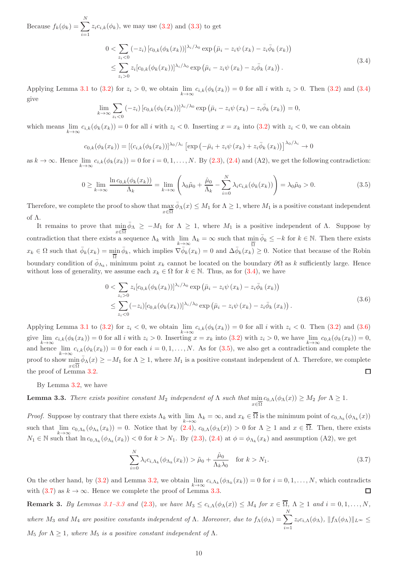Because  $f_k(\phi_k) = \sum$ N  $i=1$  $z_i c_{i,k}(\phi_k)$ , we may use  $(3.2)$  and  $(3.3)$  to get

<span id="page-9-0"></span>
$$
0 < \sum_{z_i < 0} (-z_i) [c_{0,k}(\phi_k(x_k))]^{\lambda_i/\lambda_0} \exp(\bar{\mu}_i - z_i \psi(x_k) - z_i \bar{\phi}_k(x_k))
$$
  
 
$$
\leq \sum_{z_i > 0} z_i [c_{0,k}(\phi_k(x_k))]^{\lambda_i/\lambda_0} \exp(\bar{\mu}_i - z_i \psi(x_k) - z_i \bar{\phi}_k(x_k)).
$$
 (3.4)

Applying Lemma [3.1](#page-8-5) to [\(3.2\)](#page-8-7) for  $z_i > 0$ , we obtain  $\lim_{k \to \infty} c_{i,k}(\phi_k(x_k)) = 0$  for all i with  $z_i > 0$ . Then (3.2) and [\(3.4\)](#page-9-0) give

$$
\lim_{k \to \infty} \sum_{z_i < 0} (-z_i) \left[ c_{0,k}(\phi_k(x_k)) \right]^{\lambda_i/\lambda_0} \exp \left( \bar{\mu}_i - z_i \psi(x_k) - z_i \bar{\phi}_k(x_k) \right) = 0,
$$

which means  $\lim_{k\to\infty} c_{i,k}(\phi_k(x_k)) = 0$  for all i with  $z_i < 0$ . Inserting  $x = x_k$  into  $(3.2)$  with  $z_i < 0$ , we can obtain

$$
c_{0,k}(\phi_k(x_k)) = \left[ (c_{i,k}(\phi_k(x_k))]^{\lambda_0/\lambda_i} \left[ \exp\left(-\bar{\mu}_i + z_i\psi(x_k) + z_i\bar{\phi}_k(x_k)\right) \right]^{\lambda_0/\lambda_i} \to 0 \right]
$$

as  $k \to \infty$ . Hence  $\lim_{k \to \infty} c_{i,k}(\phi_k(x_k)) = 0$  for  $i = 0, 1, ..., N$ . By [\(2.3\)](#page-4-5), [\(2.4\)](#page-4-7) and (A2), we get the following contradiction:

<span id="page-9-2"></span>
$$
0 \ge \lim_{k \to \infty} \frac{\ln c_{0,k}(\phi_k(x_k))}{\Lambda_k} = \lim_{k \to \infty} \left( \lambda_0 \tilde{\mu}_0 + \frac{\hat{\mu}_0}{\Lambda_k} - \sum_{i=0}^N \lambda_i c_{i,k}(\phi_k(x_k)) \right) = \lambda_0 \tilde{\mu}_0 > 0.
$$
 (3.5)

Therefore, we complete the proof to show that  $\max_{x \in \overline{\Omega}} \bar{\phi}_{\Lambda}(x) \leq M_1$  for  $\Lambda \geq 1$ , where  $M_1$  is a positive constant independent of Λ.

It remains to prove that  $\min_{x \in \overline{\Omega}} \bar{\phi}_{\Lambda} \geq -M_1$  for  $\Lambda \geq 1$ , where  $M_1$  is a positive independent of  $\Lambda$ . Suppose by contradiction that there exists a sequence  $\Lambda_k$  with  $\lim_{k\to\infty} \Lambda_k = \infty$  such that  $\min_{\overline{\Omega}} \overline{\phi}_k \leq -k$  for  $k \in \mathbb{N}$ . Then there exists  $x_k \in \Omega$  such that  $\bar{\phi}_k(x_k) = \min_{\overline{\Omega}} \bar{\phi}_k$ , which implies  $\nabla \bar{\phi}_k(x_k) = 0$  and  $\Delta \bar{\phi}_k(x_k) \geq 0$ . Notice that because of the Robin boundary condition of  $\bar{\phi}_{\Lambda_k}$ , minimum point  $x_k$  cannot be located on the boundary  $\partial\Omega$  as k sufficiently large. Hence without loss of generality, we assume each  $x_k \in \Omega$  for  $k \in \mathbb{N}$ . Thus, as for [\(3.4\)](#page-9-0), we have

<span id="page-9-1"></span>
$$
0 < \sum_{z_i > 0} z_i [c_{0,k}(\phi_k(x_k))]^{\lambda_i/\lambda_0} \exp\left(\bar{\mu}_i - z_i \psi(x_k) - z_i \bar{\phi}_k(x_k)\right)
$$
  

$$
\leq \sum_{z_i < 0} (-z_i) [c_{0,k}(\phi_k(x_k))]^{\lambda_i/\lambda_0} \exp\left(\bar{\mu}_i - z_i \psi(x_k) - z_i \bar{\phi}_k(x_k)\right).
$$
 (3.6)

Applying Lemma [3.1](#page-8-5) to [\(3.2\)](#page-8-7) for  $z_i < 0$ , we obtain  $\lim_{k \to \infty} c_{i,k}(\phi_k(x_k)) = 0$  for all i with  $z_i < 0$ . Then (3.2) and [\(3.6\)](#page-9-1) give  $\lim_{k\to\infty} c_{i,k}(\phi_k(x_k)) = 0$  for all i with  $z_i > 0$ . Inserting  $x = x_k$  into [\(3.2\)](#page-8-7) with  $z_i > 0$ , we have  $\lim_{k\to\infty} c_{0,k}(\phi_k(x_k)) = 0$ , and hence  $\lim_{k\to\infty} c_{i,k}(\phi_k(x_k)) = 0$  for each  $i = 0, 1, ..., N$ . As for  $(3.5)$ , we also get a contradiction and complete the proof to show  $\min \bar{\phi}_\Lambda(x) \geq -M_1$  for  $\Lambda \geq 1$ , where  $M_1$  is a positive constant independent of  $\Lambda$ . Therefore, we complete the proof of Lemma [3.2.](#page-8-0)  $\Box$ 

By Lemma [3.2,](#page-8-0) we have

<span id="page-9-4"></span>**Lemma 3.3.** There exists positive constant  $M_2$  independent of  $\Lambda$  such that  $\min_{x \in \overline{\Omega}} c_{0,\Lambda}(\phi_\Lambda(x)) \geq M_2$  for  $\Lambda \geq 1$ .

*Proof.* Suppose by contrary that there exists  $\Lambda_k$  with  $\lim_{k\to\infty} \Lambda_k = \infty$ , and  $x_k \in \Omega$  is the minimum point of  $c_{0,\Lambda_k}(\phi_{\Lambda_k}(x))$ such that  $\lim_{k\to\infty} c_{0,\Lambda_k}(\phi_{\Lambda_k}(x_k)) = 0$ . Notice that by  $(2.4)$ ,  $c_{0,\Lambda}(\phi_{\Lambda}(x)) > 0$  for  $\Lambda \geq 1$  and  $x \in \Omega$ . Then, there exists  $N_1 \in \mathbb{N}$  such that  $\ln c_{0,\Lambda_k}(\phi_{\Lambda_k}(x_k)) < 0$  for  $k > N_1$ . By  $(2.3)$ ,  $(2.4)$  at  $\phi = \phi_{\Lambda_k}(x_k)$  and assumption  $(A2)$ , we get

<span id="page-9-3"></span>
$$
\sum_{i=0}^{N} \lambda_i c_{i,\Lambda_k}(\phi_{\Lambda_k}(x_k)) > \tilde{\mu}_0 + \frac{\hat{\mu}_0}{\Lambda_k \lambda_0} \quad \text{for } k > N_1.
$$
 (3.7)

On the other hand, by [\(3.2\)](#page-8-7) and Lemma [3.2,](#page-8-0) we obtain  $\lim_{k\to\infty} c_{i,\Lambda_k}(\phi_{\Lambda_k}(x_k)) = 0$  for  $i = 0,1,\ldots,N$ , which contradicts with [\(3.7\)](#page-9-3) as  $k \to \infty$ . Hence we complete the proof of Lemma [3.3.](#page-9-4)

<span id="page-9-5"></span>**Remark 3.** By Lemmas [3.1](#page-8-5)[–3.3](#page-9-4) and [\(2.3\)](#page-4-5), we have  $M_3 \leq c_{i,\Lambda}(\phi_\Lambda(x)) \leq M_4$  for  $x \in \overline{\Omega}$ ,  $\Lambda \geq 1$  and  $i = 0,1,\ldots,N$ , where  $M_3$  and  $M_4$  are positive constants independent of  $\Lambda$ . Moreover, due to  $f_{\Lambda}(\phi_{\Lambda}) = \sum$ N  $i=1$  $z_i c_{i,\Lambda}(\phi_\Lambda)$ ,  $||f_\Lambda(\phi_\Lambda)||_{L^\infty} \leq$  $M_5$  for  $\Lambda \geq 1$ , where  $M_5$  is a positive constant independent of  $\Lambda$ .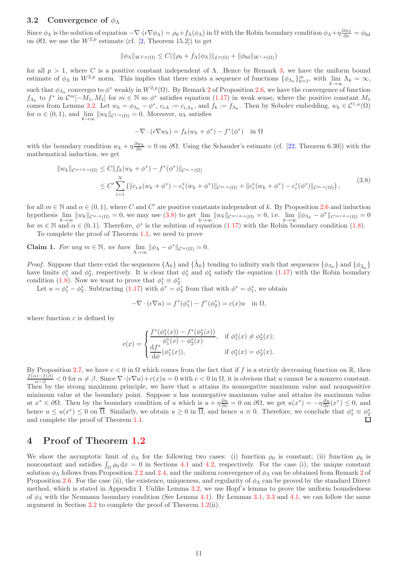## <span id="page-10-2"></span>3.2 Convergence of  $\phi_{\Lambda}$

Since  $\phi_{\Lambda}$  is the solution of equation  $-\nabla \cdot (\epsilon \nabla \phi_{\Lambda}) = \rho_0 + f_{\Lambda}(\phi_{\Lambda})$  in  $\Omega$  with the Robin boundary condition  $\phi_{\Lambda} + \eta \frac{\partial \phi_{\Lambda}}{\partial \nu} = \phi_{bd}$ on  $\partial\Omega$ , we use the  $W^{2,p}$  estimate (cf. [\[2,](#page-19-21) Theorem 15.2]) to get

$$
\|\phi_{\Lambda}\|_{W^{2,p}(\Omega)} \le C(\|\rho_0 + f_{\Lambda}(\phi_{\Lambda})\|_{L^p(\Omega)} + \|\phi_{bd}\|_{W^{1,p}(\Omega)})
$$

for all  $p > 1$ , where C is a positive constant independent of  $\Lambda$ . Hence by Remark [3,](#page-9-5) we have the uniform bound estimate of  $\phi_{\Lambda}$  in  $W^{2,p}$  norm. This implies that there exists a sequence of functions  $\{\phi_{\Lambda_k}\}_{k=1}^{\infty}$ , with  $\lim_{k\to\infty}\Lambda_k = \infty$ , such that  $\phi_{\Lambda_k}$  converges to  $\phi^*$  weakly in  $W^{2,p}(\Omega)$  $W^{2,p}(\Omega)$  $W^{2,p}(\Omega)$ . By Remark 2 of Proposition [2.6,](#page-6-1) we have the convergence of function  $f_{\Lambda_k}$  to  $f^*$  in  $\mathcal{C}^m[-M_1, M_1]$  for  $m \in \mathbb{N}$  so  $\phi^*$  satisfies equation  $(1.17)$  in weak sense, where the positive constant  $M_1$ comes from Lemma [3.2.](#page-8-0) Let  $w_k = \phi_{\Lambda_k} - \phi^*$ ,  $c_{i,k} := c_{i,\Lambda_k}$ , and  $f_k := f_{\Lambda_k}$ . Then by Sobolev embedding,  $w_k \in C^{1,\alpha}(\Omega)$ for  $\alpha \in (0, 1)$ , and  $\lim_{k \to \infty} ||w_k||_{\mathcal{C}^{1,\alpha}(\Omega)} = 0$ . Moreover,  $w_k$  satisfies

$$
-\nabla \cdot (\epsilon \nabla w_k) = f_k(w_k + \phi^*) - f^*(\phi^*) \quad \text{in } \Omega
$$

with the boundary condition  $w_k + \eta \frac{\partial w_k}{\partial \nu} = 0$  on  $\partial \Omega$ . Using the Schauder's estimate (cf. [\[22,](#page-19-22) Theorem 6.30]) with the mathematical induction, we get

<span id="page-10-1"></span>
$$
||w_k||_{\mathcal{C}^{m+2,\alpha}(\Omega)} \leq C||f_k(w_k + \phi^*) - f^*(\phi^*)||_{\mathcal{C}^{m,\alpha}(\Omega)}
$$
  
 
$$
\leq C' \sum_{i=1}^N (||c_{i,k}(w_k + \phi^*) - c_i^*(w_k + \phi^*)||_{\mathcal{C}^{m,\alpha}(\Omega)} + ||c_i^*(w_k + \phi^*) - c_i^*(\phi^*)||_{\mathcal{C}^{m,\alpha}(\Omega)}),
$$
 (3.8)

for all  $m \in \mathbb{N}$  and  $\alpha \in (0,1)$ , where C and C' are positive constants independent of k. By Proposition [2.6](#page-6-1) and induction hypothesis  $\lim_{k\to\infty} ||w_k||_{\mathcal{C}^{m,\alpha}(\Omega)} = 0$ , we may use [\(3.8\)](#page-10-1) to get  $\lim_{k\to\infty} ||w_k||_{\mathcal{C}^{m+2,\alpha}(\Omega)} = 0$ , i.e.  $\lim_{k\to\infty} ||\phi_{\Lambda_k} - \phi^*||_{\mathcal{C}^{m+2,\alpha}(\Omega)} = 0$ for  $m \in \mathbb{N}$  and  $\alpha \in (0,1)$ . Therefore,  $\phi^*$  is the solution of equation  $(1.17)$  with the Robin boundary condition  $(1.8)$ .

To complete the proof of Theorem [1.1,](#page-2-5) we need to prove

**Claim 1.** For any  $m \in \mathbb{N}$ , we have  $\lim_{\Lambda \to \infty} ||\phi_{\Lambda} - \phi^*||_{\mathcal{C}^m(\Omega)} = 0$ .

*Proof.* Suppose that there exist the sequences  $\{\Lambda_k\}$  and  $\{\tilde{\Lambda}_k\}$  tending to infinity such that sequences  $\{\phi_{\Lambda_k}\}$  and  $\{\phi_{\tilde{\Lambda}_k}\}$ have limits  $\phi_1^*$  and  $\phi_2^*$ , respectively. It is clear that  $\phi_1^*$  and  $\phi_2^*$  satisfy the equation  $(1.17)$  with the Robin boundary condition [\(1.8\)](#page-1-7). Now we want to prove that  $\phi_1^* \equiv \phi_2^*$ .

Let  $u = \phi_1^* - \phi_2^*$ . Subtracting [\(1.17\)](#page-2-2) with  $\phi^* = \phi_2^*$  from that with  $\phi^* = \phi_1^*$ , we obtain

$$
-\nabla \cdot (\epsilon \nabla u) = f^*(\phi_1^*) - f^*(\phi_2^*) = c(x)u \quad \text{in } \Omega,
$$

where function  $c$  is defined by

$$
c(x) = \begin{cases} \frac{f^*(\phi_1^*(x)) - f^*(\phi_2^*(x))}{\phi_1^*(x) - \phi_2^*(x)}, & \text{if } \phi_1^*(x) \neq \phi_2^*(x); \\ \frac{df^*}{d\phi}(\phi_1^*(x)), & \text{if } \phi_1^*(x) = \phi_2^*(x). \end{cases}
$$

By Proposition [2.7,](#page-7-0) we have  $c < 0$  in  $\Omega$  which comes from the fact that if f is a strictly decreasing function on  $\mathbb{R}$ , then  $\frac{f(\alpha)-f(\beta)}{\alpha-\beta}<0$  for  $\alpha\neq\beta$ . Since  $\nabla\cdot(\epsilon\nabla u)+c(x)u=0$  with  $c<0$  in  $\Omega$ , it is obvious that u cannot be a nonzero constant. Then by the strong maximum principle, we have that  $u$  attains its nonnegative maximum value and nonnpositive minimum value at the boundary point. Suppose  $u$  has nonnegative maximum value and attains its maximum value at  $x^* \in \partial\Omega$ . Then by the boundary condition of u which is  $u + \eta \frac{\partial u}{\partial \nu} = 0$  on  $\partial\Omega$ , we get  $u(x^*) = -\eta \frac{\partial u}{\partial \nu}(x^*) \leq 0$ , and hence  $u \le u(x^*) \le 0$  on  $\overline{\Omega}$ . Similarly, we obtain  $u \ge 0$  in  $\overline{\Omega}$ , and hence  $u \equiv 0$ . Therefore, we conclude that  $\phi_1^* \equiv \phi_2^*$ and complete the proof of Theorem [1.1.](#page-2-5)

## <span id="page-10-0"></span>4 Proof of Theorem [1.2](#page-2-6)

We show the asymptotic limit of  $\phi_{\Lambda}$  for the following two cases: (i) function  $\rho_0$  is constant; (ii) function  $\rho_0$  is nonconstant and satisfies  $\int_{\Omega} \rho_0 dx = 0$  in Sections [4.1](#page-11-1) and [4.2,](#page-11-2) respectively. For the case (i), the unique constant solution  $\phi_\Lambda$  follows from Proposition [2.2](#page-4-1) and [2.4,](#page-5-0) and the uniform convergence of  $\phi_\Lambda$  can be obtained from Remark [2](#page-7-7) of Proposition [2.6.](#page-6-1) For the case (ii), the existence, uniqueness, and regularity of  $\phi_{\Lambda}$  can be proved by the standard Direct method, which is stated in Appendix I. Unlike Lemma [3.2,](#page-8-0) we use Hopf's lemma to prove the uniform boundedness of  $\phi_{\Lambda}$  with the Neumann boundary condition (See Lemma [4.1\)](#page-11-0). By Lemmas [3.1,](#page-8-5) [3.3](#page-9-4) and [4.1,](#page-11-0) we can follow the same argument in Section [3.2](#page-10-2) to complete the proof of Theorem [1.2\(](#page-2-6)ii).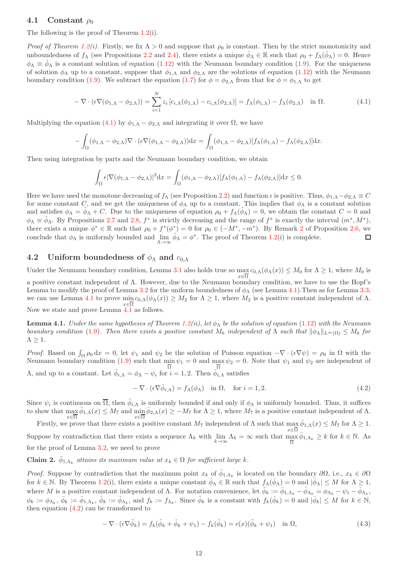### <span id="page-11-1"></span>4.1 Constant  $\rho_0$

The following is the proof of Theorem [1.2\(](#page-2-6)i).

*Proof of Theorem [1.2\(](#page-2-6)i).* Firstly, we fix  $\Lambda > 0$  and suppose that  $\rho_0$  is constant. Then by the strict monotonicity and unboundedness of  $f_\Lambda$  (see Propositions [2.2](#page-4-1) and [2.4\)](#page-5-0), there exists a unique  $\hat{\phi}_\Lambda \in \mathbb{R}$  such that  $\rho_0 + f_\Lambda(\hat{\phi}_\Lambda) = 0$ . Hence  $\phi_{\Lambda} \equiv \phi_{\Lambda}$  is a constant solution of equation [\(1.12\)](#page-1-3) with the Neumann boundary condition [\(1.9\)](#page-1-8). For the uniqueness of solution  $\phi_{\Lambda}$  up to a constant, suppose that  $\phi_{1,\Lambda}$  and  $\phi_{2,\Lambda}$  are the solutions of equation [\(1.12\)](#page-1-3) with the Neumann boundary condition [\(1.9\)](#page-1-8). We subtract the equation [\(1.7\)](#page-1-2) for  $\phi = \phi_{2,\Lambda}$  from that for  $\phi = \phi_{1,\Lambda}$  to get

<span id="page-11-3"></span>
$$
-\nabla \cdot (\epsilon \nabla (\phi_{1,\Lambda} - \phi_{2,\Lambda})) = \sum_{i=1}^{N} z_i \left[ c_{i,\Lambda}(\phi_{1,\Lambda}) - c_{i,\Lambda}(\phi_{2,\Lambda}) \right] = f_{\Lambda}(\phi_{1,\Lambda}) - f_{\Lambda}(\phi_{2,\Lambda}) \quad \text{in } \Omega.
$$
 (4.1)

Multiplying the equation [\(4.1\)](#page-11-3) by  $\phi_{1,\Lambda} - \phi_{2,\Lambda}$  and integrating it over  $\Omega$ , we have

$$
-\int_{\Omega} (\phi_{1,\Lambda} - \phi_{2,\Lambda}) \nabla \cdot (\epsilon \nabla (\phi_{1,\Lambda} - \phi_{2,\Lambda})) dx = \int_{\Omega} (\phi_{1,\Lambda} - \phi_{2,\Lambda}) [f_{\Lambda}(\phi_{1,\Lambda}) - f_{\Lambda}(\phi_{2,\Lambda})] dx.
$$

Then using integration by parts and the Neumann boundary condition, we obtain

$$
\int_{\Omega} \epsilon |\nabla(\phi_{1,\Lambda} - \phi_{2,\Lambda})|^2 dx = \int_{\Omega} (\phi_{1,\Lambda} - \phi_{2,\Lambda}) [f_{\Lambda}(\phi_{1,\Lambda}) - f_{\Lambda}(\phi_{2,\Lambda})] dx \le 0.
$$

Here we have used the monotone decreasing of  $f_A$  (see Proposition [2.2\)](#page-4-1) and function  $\epsilon$  is positive. Thus,  $\phi_{1,\Lambda}-\phi_{2,\Lambda}\equiv C$ for some constant C, and we get the uniqueness of  $\phi_{\Lambda}$  up to a constant. This implies that  $\phi_{\Lambda}$  is a constant solution and satisfies  $\phi_{\Lambda} = \hat{\phi}_{\Lambda} + C$ . Due to the uniqueness of equation  $\rho_0 + f_{\Lambda}(\hat{\phi}_{\Lambda}) = 0$ , we obtain the constant  $C = 0$  and  $\phi_{\Lambda} \equiv \hat{\phi}_{\Lambda}$ . By Propositions [2.7](#page-7-0) and [2.8,](#page-7-1)  $f^*$  is strictly decreasing and the range of  $f^*$  is exactly the interval  $(m^*, M^*)$ , there exists a unique  $\phi^* \in \mathbb{R}$  such that  $\rho_0 + f^*(\phi^*) = 0$  for  $\rho_0 \in (-M^*, -m^*)$ . By Remark [2](#page-7-7) of Proposition [2.6,](#page-6-1) we conclude that  $\phi_{\Lambda}$  is uniformly bounded and  $\lim_{\Lambda \to \infty} \hat{\phi}_{\Lambda} = \phi^*$ . The proof of Theorem [1.2\(](#page-2-6)i) is complete. □

#### <span id="page-11-2"></span>4.2 Uniform boundedness of  $\phi_{\Lambda}$  and  $c_{0,\Lambda}$

Under the Neumann boundary condition, Lemma [3.1](#page-8-5) also holds true so  $\max_{x \in \overline{\Omega}} c_{0,\Lambda}(\phi_\Lambda(x)) \leq M_0$  for  $\Lambda \geq 1$ , where  $M_0$  is a positive constant independent of Λ. However, due to the Neumann boundary condition, we have to use the Hopf's Lemma to modify the proof of Lemma [3.2](#page-8-0) for the uniform boundedness of  $\phi_{\Lambda}$  (see Lemma [4.1\)](#page-11-0). Then as for Lemma [3.3,](#page-9-4) we can use Lemma [4.1](#page-11-0) to prove  $\min_{x \in \overline{\Omega}} c_{0,\Lambda}(\phi_{\Lambda}(x)) \geq M_2$  for  $\Lambda \geq 1$ , where  $M_2$  is a positive constant independent of  $\Lambda$ . Now we state and prove Lemma [4.1](#page-11-0) as follows.

<span id="page-11-0"></span>**Lemma 4.1.** Under the same hypotheses of Theorem [1.2\(](#page-2-6)ii), let  $\phi_{\Lambda}$  be the solution of equation [\(1.12\)](#page-1-3) with the Neumann boundary condition [\(1.9\)](#page-1-8). Then there exists a positive constant  $M_6$  independent of  $\Lambda$  such that  $\|\phi_{\Lambda}\|_{L^{\infty}(\Omega)} \leq M_6$  for  $\Lambda \geq 1$ .

Proof. Based on  $\int_{\Omega} \rho_0 dx = 0$ , let  $\psi_1$  and  $\psi_2$  be the solution of Poisson equation  $-\nabla \cdot (\epsilon \nabla \psi) = \rho_0$  in  $\Omega$  with the Neumann boundary condition [\(1.9\)](#page-1-8) such that  $\min_{\overline{\Omega}} \psi_1 = 0$  and  $\max_{\overline{\Omega}} \psi_2 = 0$ . Note that  $\psi_1$  and  $\psi_2$  are independent of  $Λ$ , and up to a constant. Let  $\bar{\phi}_{i,\Lambda} = \phi_{\Lambda} - \psi_i$  for  $i = 1, 2$ . Then  $\bar{\phi}_{i,\Lambda}$  satisfies

<span id="page-11-4"></span>
$$
-\nabla \cdot (\epsilon \nabla \bar{\phi}_{i,\Lambda}) = f_{\Lambda}(\phi_{\Lambda}) \quad \text{in } \Omega, \quad \text{for } i = 1, 2.
$$
 (4.2)

Since  $\psi_i$  is continuous on  $\overline{\Omega}$ , then  $\overline{\phi}_{i,\Lambda}$  is uniformly bounded if and only if  $\phi_\Lambda$  is uniformly bounded. Thus, it suffices to show that  $\max_{x \in \overline{\Omega}} \bar{\phi}_{1,\Lambda}(x) \leq M_7$  and  $\min_{x \in \overline{\Omega}} \bar{\phi}_{2,\Lambda}(x) \geq -M_7$  for  $\Lambda \geq 1$ , where  $M_7$  is a positive constant independent of  $\Lambda$ .

Firstly, we prove that there exists a positive constant  $M_7$  independent of  $\Lambda$  such that  $\max_{x \in \overline{\Omega}} \bar{\phi}_{1,\Lambda}(x) \leq M_7$  for  $\Lambda \geq 1$ . Suppose by contradiction that there exists a sequence  $\Lambda_k$  with  $\lim_{k\to\infty} \Lambda_k = \infty$  such that  $\max_{\overline{\Omega}} \overline{\phi}_{1,\Lambda_k} \geq k$  for  $k \in \mathbb{N}$ . As for the proof of Lemma [3.2,](#page-8-0) we need to prove

<span id="page-11-6"></span>**Claim 2.**  $\bar{\phi}_{1,\Lambda_k}$  attains its maximum value at  $x_k \in \Omega$  for sufficient large k.

Proof. Suppose by contradiction that the maximum point  $x_k$  of  $\bar{\phi}_{1,\Lambda_k}$  is located on the boundary  $\partial\Omega$ , i.e.,  $x_k \in \partial\Omega$ for  $k \in \mathbb{N}$ . By Theorem [1.2\(](#page-2-6)i), there exists a unique constant  $\hat{\phi}_{\Lambda} \in \mathbb{R}$  such that  $f_{\Lambda}(\hat{\phi}_{\Lambda}) = 0$  and  $|\hat{\phi}_{\Lambda}| \leq M$  for  $\Lambda \geq 1$ , where M is a positive constant independent of  $\Lambda$ . For notation convenience, let  $\tilde{\phi}_k := \bar{\phi}_{1,\Lambda_k} - \hat{\phi}_{\Lambda_k} = \phi_{\Lambda_k} - \psi_1 - \hat{\phi}_{\Lambda_k}$ ,  $\phi_k := \phi_{\Lambda_k}, \ \overline{\phi}_k := \overline{\phi}_{1,\Lambda_k}, \ \hat{\phi}_k := \hat{\phi}_{\Lambda_k}, \text{ and } f_k := f_{\Lambda_k}.$  Since  $\hat{\phi}_k$  is a constant with  $f_k(\hat{\phi}_k) = 0$  and  $|\hat{\phi}_k| \leq M$  for  $k \in \mathbb{N}$ , then equation  $(4.2)$  can be transformed to

<span id="page-11-5"></span>
$$
-\nabla \cdot (\epsilon \nabla \tilde{\phi}_k) = f_k(\tilde{\phi}_k + \hat{\phi}_k + \psi_1) - f_k(\hat{\phi}_k) = c(x)(\tilde{\phi}_k + \psi_1) \quad \text{in } \Omega,
$$
\n(4.3)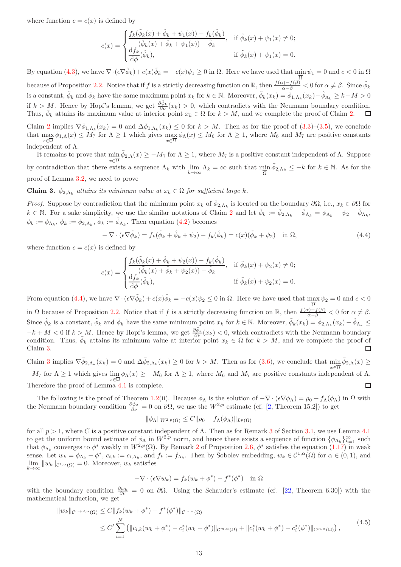where function  $c = c(x)$  is defined by

$$
c(x) = \begin{cases} \frac{f_k(\tilde{\phi}_k(x) + \hat{\phi}_k + \psi_1(x)) - f_k(\hat{\phi}_k)}{(\tilde{\phi}_k(x) + \hat{\phi}_k + \psi_1(x)) - \hat{\phi}_k}, & \text{if } \tilde{\phi}_k(x) + \psi_1(x) \neq 0; \\ \frac{df_k}{d\phi}(\hat{\phi}_k), & \text{if } \tilde{\phi}_k(x) + \psi_1(x) = 0. \end{cases}
$$

By equation [\(4.3\)](#page-11-5), we have  $\nabla \cdot (\epsilon \nabla \tilde{\phi}_k) + c(x) \tilde{\phi}_k = -c(x)\psi_1 \ge 0$  in  $\Omega$ . Here we have used that  $\min_{\Omega} \psi_1 = 0$  and  $c < 0$  in  $\Omega$ because of Proposition [2.2.](#page-4-1) Notice that if f is a strictly decreasing function on R, then  $\frac{f(\alpha)-f(\beta)}{\alpha-\beta} < 0$  for  $\alpha \neq \beta$ . Since  $\hat{\phi}_k$ is a constant,  $\tilde{\phi}_k$  and  $\bar{\phi}_k$  have the same maximum point  $x_k$  for  $k \in \mathbb{N}$ . Moreover,  $\tilde{\phi}_k(x_k) = \bar{\phi}_{1,\Lambda_k}(x_k) - \hat{\phi}_{\Lambda_k} \geq k - M > 0$ if  $k > M$ . Hence by Hopf's lemma, we get  $\frac{\partial \tilde{\phi}_k}{\partial \nu}(x_k) > 0$ , which contradicts with the Neumann boundary condition. Thus,  $\bar{\phi}_k$  attains its maximum value at interior point  $x_k \in \Omega$  for  $k > M$ , and we complete the proof of Claim [2.](#page-11-6)

Claim [2](#page-11-6) implies  $\nabla \bar{\phi}_{1,\Lambda_k}(x_k) = 0$  and  $\Delta \bar{\phi}_{1,\Lambda_k}(x_k) \leq 0$  for  $k > M$ . Then as for the proof of  $(3.3)$ – $(3.5)$ , we conclude that  $\max_{x \in \overline{\Omega}} \bar{\phi}_{1,\Lambda}(x) \leq M_7$  for  $\Lambda \geq 1$  which gives  $\max_{x \in \overline{\Omega}} \phi_{\Lambda}(x) \leq M_6$  for  $\Lambda \geq 1$ , where  $M_6$  and  $M_7$  are positive constants  $x \in \Omega$ <br>independent of  $\Lambda$ .

It remains to prove that  $\min \bar{\phi}_{2,\Lambda}(x) \geq -M_7$  for  $\Lambda \geq 1$ , where  $M_7$  is a positive constant independent of  $\Lambda$ . Suppose  $x \in \overline{\Omega}$ by contradiction that there exists a sequence  $\Lambda_k$  with  $\lim_{k\to\infty} \Lambda_k = \infty$  such that  $\min_{\overline{\Omega}} \overline{\phi}_{2,\Lambda_k} \leq -k$  for  $k \in \mathbb{N}$ . As for the proof of Lemma [3.2,](#page-8-0) we need to prove

<span id="page-12-1"></span>**Claim 3.**  $\bar{\phi}_{2,\Lambda_k}$  attains its minimum value at  $x_k \in \Omega$  for sufficient large k.

*Proof.* Suppose by contradiction that the minimum point  $x_k$  of  $\bar{\phi}_{2,\Lambda_k}$  is located on the boundary  $\partial\Omega$ , i.e.,  $x_k \in \partial\Omega$  for  $k \in \mathbb{N}$ . For a sake simplicity, we use the similar notations of Claim [2](#page-11-6) and let  $\tilde{\phi}_k := \bar{\phi}_{2,\Lambda_k} - \hat{\phi}_{\Lambda_k} = \phi_{\Lambda_k} - \hat{\psi}_{2} - \hat{\phi}_{\Lambda_k}$ ,  $\phi_k := \phi_{\Lambda_k}, \bar{\phi}_k := \bar{\phi}_{2,\Lambda_k}, \hat{\phi}_k := \hat{\phi}_{\Lambda_k}$ . Then equation [\(4.2\)](#page-11-4) becomes

<span id="page-12-0"></span>
$$
-\nabla \cdot (\epsilon \nabla \tilde{\phi}_k) = f_k(\tilde{\phi}_k + \hat{\phi}_k + \psi_2) - f_k(\hat{\phi}_k) = c(x)(\tilde{\phi}_k + \psi_2) \quad \text{in } \Omega,
$$
\n(4.4)

where function  $c = c(x)$  is defined by

$$
c(x) = \begin{cases} \frac{f_k(\tilde{\phi}_k(x) + \hat{\phi}_k + \psi_2(x)) - f_k(\hat{\phi}_k)}{(\tilde{\phi}_k(x) + \hat{\phi}_k + \psi_2(x)) - \hat{\phi}_k}, & \text{if } \tilde{\phi}_k(x) + \psi_2(x) \neq 0; \\ \frac{df_k}{d\phi}(\hat{\phi}_k), & \text{if } \tilde{\phi}_k(x) + \psi_2(x) = 0. \end{cases}
$$

From equation [\(4.4\)](#page-12-0), we have  $\nabla \cdot (\epsilon \nabla \tilde{\phi}_k) + c(x) \tilde{\phi}_k = -c(x) \psi_2 \leq 0$  in  $\Omega$ . Here we have used that  $\max \psi_2 = 0$  and  $c < 0$ in  $\Omega$  because of Proposition [2.2.](#page-4-1) Notice that if f is a strictly decreasing function on R, then  $\frac{f(\alpha)-f(\beta)}{\alpha-\beta} < 0$  for  $\alpha \neq \beta$ . Since  $\hat{\phi}_k$  is a constant,  $\tilde{\phi}_k$  and  $\bar{\phi}_k$  have the same minimum point  $x_k$  for  $k \in \mathbb{N}$ . Moreover,  $\tilde{\phi}_k(x_k) = \bar{\phi}_{2,\Lambda_k}(x_k) - \hat{\phi}_{\Lambda_k} \leq$  $-k+M < 0$  if  $k > M$ . Hence by Hopf's lemma, we get  $\frac{\partial \tilde{\phi}_k}{\partial \nu}(x_k) < 0$ , which contradicts with the Neumann boundary condition. Thus,  $\bar{\phi}_k$  attains its minimum value at interior point  $x_k \in \Omega$  for  $k > M$ , and we complete the proof of Claim [3.](#page-12-1)  $\Box$ 

Claim [3](#page-12-1) implies  $\nabla \bar{\phi}_{2,\Lambda_k}(x_k) = 0$  and  $\Delta \bar{\phi}_{2,\Lambda_k}(x_k) \ge 0$  for  $k > M$ . Then as for [\(3.6\)](#page-9-1), we conclude that  $\min_{n \to \infty} \bar{\phi}_{2,\Lambda}(x) \ge 0$  $-M_7$  for  $\Lambda \geq 1$  which gives  $\lim_{x \in \overline{\Omega}} \phi_{\Lambda}(x) \geq -M_6$  for  $\Lambda \geq 1$ , where  $M_6$  and  $M_7$  are positive constants independent of  $\Lambda$ . Therefore the proof of Lemma [4.1](#page-11-0) is complete.  $\Box$ 

The following is the proof of Theorem [1.2\(](#page-2-6)ii). Because  $\phi_{\Lambda}$  is the solution of  $-\nabla \cdot (\epsilon \nabla \phi_{\Lambda}) = \rho_0 + f_{\Lambda}(\phi_{\Lambda})$  in  $\Omega$  with the Neumann boundary condition  $\frac{\partial \phi_{\Lambda}}{\partial \nu} = 0$  on  $\partial \Omega$ , we use the  $W^{2,p}$  estimate (cf. [\[2,](#page-19-21) Theorem 15.2]) to get

$$
\|\phi_{\Lambda}\|_{W^{2,p}(\Omega)} \leq C \|\rho_0 + f_{\Lambda}(\phi_{\Lambda})\|_{L^p(\Omega)}
$$

for all  $p > 1$ , where C is a positive constant independent of Λ. Then as for Remark [3](#page-9-5) of Section [3.1,](#page-8-9) we use Lemma [4.1](#page-11-0) to get the uniform bound estimate of  $\phi_{\Lambda}$  in  $W^{2,p}$  norm, and hence there exists a sequence of function  $\{\phi_{\Lambda_k}\}_{k=1}^{\infty}$  such that  $\phi_{\Lambda_k}$  converges to  $\phi^*$  weakly in  $W^{2,p}(\Omega)$  $W^{2,p}(\Omega)$  $W^{2,p}(\Omega)$ . By Remark 2 of Proposition [2.6,](#page-6-1)  $\phi^*$  satisfies the equation  $(1.17)$  in weak sense. Let  $w_k = \phi_{\Lambda_k} - \phi^*$ ,  $c_{i,k} := c_{i,\Lambda_k}$ , and  $f_k := f_{\Lambda_k}$ . Then by Sobolev embedding,  $w_k \in C^{1,\alpha}(\Omega)$  for  $\alpha \in (0,1)$ , and  $\lim_{k\to\infty} \|w_k\|_{\mathcal{C}^{1,\alpha}(\Omega)} = 0.$  Moreover,  $w_k$  satisfies

$$
-\nabla \cdot (\epsilon \nabla w_k) = f_k(w_k + \phi^*) - f^*(\phi^*) \quad \text{in } \Omega
$$

with the boundary condition  $\frac{\partial w_k}{\partial \nu} = 0$  on  $\partial \Omega$ . Using the Schauder's estimate (cf. [\[22,](#page-19-22) Theorem 6.30]) with the mathematical induction, we get

$$
||w_k||_{\mathcal{C}^{m+2,\alpha}(\Omega)} \leq C||f_k(w_k + \phi^*) - f^*(\phi^*)||_{\mathcal{C}^{m,\alpha}(\Omega)}
$$
  
 
$$
\leq C' \sum_{i=1}^N (||c_{i,k}(w_k + \phi^*) - c_i^*(w_k + \phi^*)||_{\mathcal{C}^{m,\alpha}(\Omega)} + ||c_i^*(w_k + \phi^*) - c_i^*(\phi^*)||_{\mathcal{C}^{m,\alpha}(\Omega)}),
$$
 (4.5)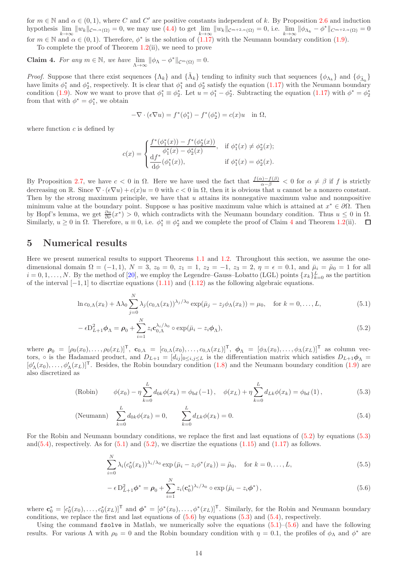for  $m \in \mathbb{N}$  and  $\alpha \in (0,1)$ , where C and C' are positive constants independent of k. By Proposition [2.6](#page-6-1) and induction hypothesis  $\lim_{k\to\infty} ||w_k||_{\mathcal{C}^{m,\alpha}(\Omega)} = 0$ , we may use [\(4.4\)](#page-12-0) to get  $\lim_{k\to\infty} ||w_k||_{\mathcal{C}^{m+2,\alpha}(\Omega)} = 0$ , i.e.  $\lim_{k\to\infty} ||\phi_{\Lambda_k} - \phi^*||_{\mathcal{C}^{m+2,\alpha}(\Omega)} = 0$ for  $m \in \mathbb{N}$  and  $\alpha \in (0,1)$ . Therefore,  $\phi^*$  is the solution of  $(1.17)$  with the Neumann boundary condition  $(1.9)$ .

To complete the proof of Theorem [1.2\(](#page-2-6)ii), we need to prove

<span id="page-13-1"></span>**Claim 4.** For any  $m \in \mathbb{N}$ , we have  $\lim_{\Lambda \to \infty} ||\phi_{\Lambda} - \phi^*||_{\mathcal{C}^m(\Omega)} = 0$ .

*Proof.* Suppose that there exist sequences  $\{\Lambda_k\}$  and  $\{\tilde{\Lambda}_k\}$  tending to infinity such that sequences  $\{\phi_{\Lambda_k}\}$  and  $\{\phi_{\tilde{\Lambda}_k}\}$ have limits  $\phi_1^*$  and  $\phi_2^*$ , respectively. It is clear that  $\phi_1^*$  and  $\phi_2^*$  satisfy the equation  $(1.17)$  with the Neumann boundary condition [\(1.9\)](#page-1-8). Now we want to prove that  $\phi_1^* \equiv \phi_2^*$ . Let  $u = \phi_1^* - \phi_2^*$ . Subtracting the equation [\(1.17\)](#page-2-2) with  $\phi^* = \phi_2^*$ from that with  $\phi^* = \phi_1^*$ , we obtain

$$
-\nabla \cdot (\epsilon \nabla u) = f^*(\phi_1^*) - f^*(\phi_2^*) = c(x)u \quad \text{in } \Omega,
$$

where function  $c$  is defined by

$$
c(x) = \begin{cases} \frac{f^*(\phi_1^*(x)) - f^*(\phi_2^*(x))}{\phi_1^*(x) - \phi_2^*(x)}, & \text{if } \phi_1^*(x) \neq \phi_2^*(x); \\ \frac{df^*}{d\phi}(\phi_1^*(x)), & \text{if } \phi_1^*(x) = \phi_2^*(x). \end{cases}
$$

By Proposition [2.7,](#page-7-0) we have  $c < 0$  in  $\Omega$ . Here we have used the fact that  $\frac{f(\alpha)-f(\beta)}{\alpha-\beta} < 0$  for  $\alpha \neq \beta$  if f is strictly decreasing on R. Since  $\nabla \cdot (\epsilon \nabla u) + c(x)u = 0$  with  $c < 0$  in  $\Omega$ , then it is obvious that u cannot be a nonzero constant. Then by the strong maximum principle, we have that u attains its nonnegative maximum value and nonpositive minimum value at the boundary point. Suppose u has positive maximum value which is attained at  $x^* \in \partial\Omega$ . Then by Hopf's lemma, we get  $\frac{\partial u}{\partial \nu}(x^*) > 0$ , which contradicts with the Neumann boundary condition. Thus  $u \leq 0$  in  $\Omega$ . Similarly,  $u \ge 0$  in  $\Omega$ . Therefore,  $u \equiv 0$ , i.e.  $\phi_1^* \equiv \phi_2^*$  and we complete the proof of Claim [4](#page-13-1) and Theorem [1.2\(](#page-2-6)ii).

## <span id="page-13-0"></span>5 Numerical results

Here we present numerical results to support Theorems [1.1](#page-2-5) and [1.2.](#page-2-6) Throughout this section, we assume the onedimensional domain  $\Omega = (-1, 1)$ ,  $N = 3$ ,  $z_0 = 0$ ,  $z_1 = 1$ ,  $z_2 = -1$ ,  $z_3 = 2$ ,  $\eta = \epsilon = 0.1$ , and  $\bar{\mu}_i = \tilde{\mu}_0 = 1$  for all  $i = 0, 1, \ldots, N$ . By the method of [\[20\]](#page-19-23), we employ the Legendre–Gauss–Lobatto (LGL) points  $\{x_k\}_{k=0}^L$  as the partition of the interval  $[-1, 1]$  to discrtize equations  $(1.11)$  and  $(1.12)$  as the following algebraic equations.

<span id="page-13-5"></span>
$$
\ln c_{0,\Lambda}(x_k) + \Lambda \lambda_0 \sum_{j=0}^{N} \lambda_j (c_{0,\Lambda}(x_k))^{\lambda_j/\lambda_0} \exp(\bar{\mu}_j - z_j \phi_\Lambda(x_k)) = \mu_0, \quad \text{for } k = 0, \dots, L,
$$
\n(5.1)

<span id="page-13-2"></span>
$$
-\epsilon \mathcal{D}_{L+1}^2 \phi_{\Lambda} = \rho_0 + \sum_{i=1}^N z_i \mathbf{c}_{0,\Lambda}^{\lambda_i/\lambda_0} \circ \exp(\bar{\mu}_i - z_i \phi_{\Lambda}), \qquad (5.2)
$$

where  $\rho_0 = [\rho_0(x_0), \ldots, \rho_0(x_L)]^T$ ,  $\mathbf{c}_{0,\Lambda} = [c_{0,\Lambda}(x_0), \ldots, c_{0,\Lambda}(x_L)]^T$ ,  $\phi_{\Lambda} = [\phi_{\Lambda}(x_0), \ldots, \phi_{\Lambda}(x_L)]^T$  as column vectors,  $\circ$  is the Hadamard product, and  $D_{L+1} = [d_{ij}]_{0 \leq i,j \leq L}$  is the differentiation matrix which satisfies  $D_{L+1}\phi_{\Lambda} =$  $[\phi'_{\Lambda}(x_0),\ldots,\phi'_{\Lambda}(x_L)]^{\mathsf{T}}$ . Besides, the Robin boundary condition [\(1.8\)](#page-1-7) and the Neumann boundary condition [\(1.9\)](#page-1-8) are also discretized as

(Robin) 
$$
\phi(x_0) - \eta \sum_{k=0}^{L} d_{0k} \phi(x_k) = \phi_{bd}(-1), \quad \phi(x_L) + \eta \sum_{k=0}^{L} d_{Lk} \phi(x_k) = \phi_{bd}(1),
$$
 (5.3)

(Neumann) 
$$
\sum_{k=0}^{L} d_{0k} \phi(x_k) = 0, \qquad \sum_{k=0}^{L} d_{Lk} \phi(x_k) = 0.
$$
 (5.4)

For the Robin and Neumann boundary conditions, we replace the first and last equations of [\(5.2\)](#page-13-2) by equations [\(5.3\)](#page-13-3) and[\(5.4\)](#page-13-4), respectively. As for  $(5.1)$  and  $(5.2)$ , we discrtize the equations  $(1.15)$  and  $(1.17)$  as follows.

<span id="page-13-4"></span><span id="page-13-3"></span>
$$
\sum_{i=0}^{N} \lambda_i (c_0^*(x_k))^{\lambda_i/\lambda_0} \exp\left(\bar{\mu}_i - z_i \phi^*(x_k)\right) = \tilde{\mu}_0, \quad \text{for } k = 0, \dots, L,
$$
\n(5.5)

<span id="page-13-6"></span>
$$
-\epsilon \mathcal{D}_{L+1}^2 \phi^* = \rho_0 + \sum_{i=1}^N z_i (\mathbf{c}_0^*)^{\lambda_i/\lambda_0} \circ \exp\left(\bar{\mu}_i - z_i \phi^*\right),\tag{5.6}
$$

where  $\mathbf{c}_0^* = [c_0^*(x_0), \ldots, c_0^*(x_L)]^{\mathsf{T}}$  and  $\boldsymbol{\phi}^* = [\phi^*(x_0), \ldots, \phi^*(x_L)]^{\mathsf{T}}$ . Similarly, for the Robin and Neumann boundary conditions, we replace the first and last equations of  $(5.6)$  by equations  $(5.3)$  and  $(5.4)$ , respectively.

Using the command fsolve in Matlab, we numerically solve the equations  $(5.1)$ – $(5.6)$  and have the following results. For various  $\Lambda$  with  $\rho_0 = 0$  and the Robin boundary condition with  $\eta = 0.1$ , the profiles of  $\phi_\Lambda$  and  $\phi^*$  are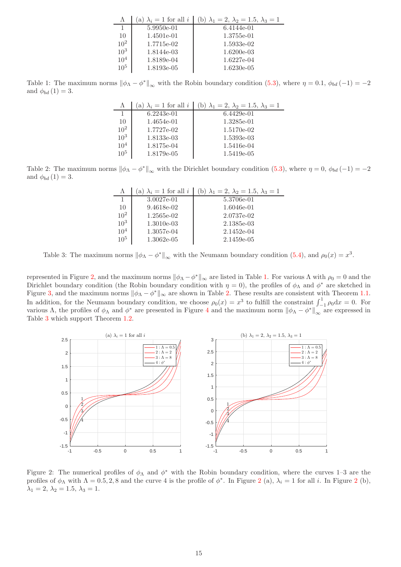| Λ               | $\lambda_i = 1$ for all i<br>a) | (b) $\lambda_1 = 2, \lambda_2 = 1.5, \lambda_3 = 1$ |
|-----------------|---------------------------------|-----------------------------------------------------|
|                 | 5.9950e-01                      | 6.4144e-01                                          |
| 10              | 1.4501e-01                      | 1.3755e-01                                          |
| $10^{2}$        | 1.7715e-02                      | 1.5933e-02                                          |
| $10^{3}$        | 1.8144e-03                      | $1.6200e-03$                                        |
| 10 <sup>4</sup> | 1.8189e-04                      | 1.6227e-04                                          |
| $10^{5}$        | 1.8193e-05                      | $1.6230e-05$                                        |

<span id="page-14-1"></span>Table 1: The maximum norms  $\|\phi_{\Lambda} - \phi^*\|_{\infty}$  with the Robin boundary condition [\(5.3\)](#page-13-3), where  $\eta = 0.1$ ,  $\phi_{bd}(-1) = -2$ and  $\phi_{bd} (1) = 3$ .

| Λ        | (a) $\lambda_i = 1$ for all i | (b) $\lambda_1 = 2, \lambda_2 = 1.5, \lambda_3 = 1$ |
|----------|-------------------------------|-----------------------------------------------------|
|          | $6.2243e-01$                  | $6.4429e-01$                                        |
| 10       | 1.4654e-01                    | 1.3285e-01                                          |
| $10^{2}$ | 1.7727e-02                    | 1.5170e-02                                          |
| $10^{3}$ | 1.8133e-03                    | 1.5393e-03                                          |
| $10^{4}$ | 1.8175e-04                    | 1.5416e-04                                          |
| $10^{5}$ | 1.8179e-05                    | 1.5419e-05                                          |

<span id="page-14-2"></span>Table 2: The maximum norms  $\|\phi_{\Lambda} - \phi^*\|_{\infty}$  with the Dirichlet boundary condition [\(5.3\)](#page-13-3), where  $\eta = 0$ ,  $\phi_{bd}(-1) = -2$ and  $\phi_{bd} (1) = 3$ .

| Λ               | (a) $\lambda_i = 1$ for all i | (b) $\lambda_1 = 2, \lambda_2 = 1.5, \lambda_3 = 1$ |
|-----------------|-------------------------------|-----------------------------------------------------|
| 1               | 3.0027e-01                    | 5.3706e-01                                          |
| 10              | 9.4618e-02                    | 1.6046e-01                                          |
| $10^{2}$        | 1.2565e-02                    | 2.0737e-02                                          |
| $10^{3}$        | $1.3010e-03$                  | 2.1385e-03                                          |
| $10^{4}$        | 1.3057e-04                    | 2.1452e-04                                          |
| 10 <sup>5</sup> | $1.3062e-05$                  | 2.1459e-05                                          |

<span id="page-14-3"></span>Table 3: The maximum norms  $\|\phi_{\Lambda} - \phi^*\|_{\infty}$  with the Neumann boundary condition [\(5.4\)](#page-13-4), and  $\rho_0(x) = x^3$ .

represented in Figure [2,](#page-14-0) and the maximum norms  $\|\phi_{\Lambda} - \phi^*\|_{\infty}$  are listed in Table [1.](#page-14-1) For various  $\Lambda$  with  $\rho_0 = 0$  and the Dirichlet boundary condition (the Robin boundary condition with  $\eta = 0$ ), the profiles of  $\phi_{\Lambda}$  and  $\phi^*$  are sketched in Figure [3,](#page-15-0) and the maximum norms  $\|\phi_{\Lambda} - \phi^*\|_{\infty}$  are shown in Table [2.](#page-14-2) These results are consistent with Theorem [1.1.](#page-2-5) In addition, for the Neumann boundary condition, we choose  $\rho_0(x) = x^3$  to fulfill the constraint  $\int_{-1}^{1} \rho_0 dx = 0$ . For various Λ, the profiles of  $\phi_{\Lambda}$  and  $\phi^*$  are presented in Figure [4](#page-15-1) and the maximum norm  $\|\phi_{\Lambda} - \phi^*\|_{\infty}$  are expressed in Table [3](#page-14-3) which support Theorem [1.2.](#page-2-6)



<span id="page-14-0"></span>Figure 2: The numerical profiles of  $\phi_{\Lambda}$  and  $\phi^*$  with the Robin boundary condition, where the curves 1-3 are the profiles of  $\phi_{\Lambda}$  with  $\Lambda = 0.5, 2, 8$  $\Lambda = 0.5, 2, 8$  $\Lambda = 0.5, 2, 8$  and the curve 4 is the profile of  $\phi^*$ . In Figure 2 (a),  $\lambda_i = 1$  for all i. In Figure 2 (b),  $\lambda_1 = 2, \lambda_2 = 1.5, \lambda_3 = 1.$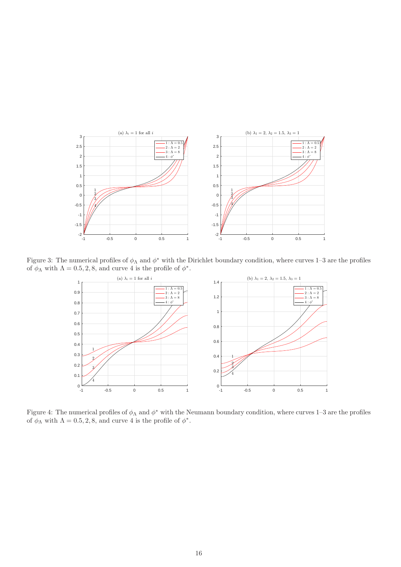

Figure 3: The numerical profiles of  $\phi_{\Lambda}$  and  $\phi^*$  with the Dirichlet boundary condition, where curves 1–3 are the profiles of  $\phi_{\Lambda}$  with  $\Lambda = 0.5, 2, 8$ , and curve 4 is the profile of  $\phi^*$ .

<span id="page-15-0"></span>

<span id="page-15-1"></span>Figure 4: The numerical profiles of  $\phi_{\Lambda}$  and  $\phi^*$  with the Neumann boundary condition, where curves 1–3 are the profiles of  $\phi_{\Lambda}$  with  $\Lambda = 0.5, 2, 8$ , and curve 4 is the profile of  $\phi^*$ .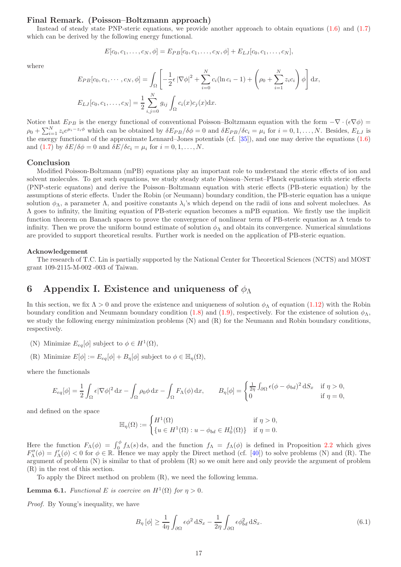### Final Remark. (Poisson–Boltzmann approach)

Instead of steady state PNP-steric equations, we provide another approach to obtain equations [\(1.6\)](#page-1-1) and [\(1.7\)](#page-1-2) which can be derived by the following energy functional.

$$
E[c_0, c_1, \ldots, c_N, \phi] = E_{PB}[c_0, c_1, \ldots, c_N, \phi] + E_{LJ}[c_0, c_1, \ldots, c_N],
$$

where

$$
E_{PB}[c_0, c_1, \cdots, c_N, \phi] = \int_{\Omega} \left[ -\frac{1}{2} \epsilon |\nabla \phi|^2 + \sum_{i=0}^N c_i (\ln c_i - 1) + \left( \rho_0 + \sum_{i=1}^N z_i c_i \right) \phi \right] dx,
$$
  

$$
E_{LJ}[c_0, c_1, \ldots, c_N] = \frac{1}{2} \sum_{i,j=0}^N g_{ij} \int_{\Omega} c_i(x) c_j(x) dx.
$$

Notice that  $E_{PB}$  is the energy functional of conventional Poisson–Boltzmann equation with the form  $-\nabla \cdot (\epsilon \nabla \phi)$  $\rho_0 + \sum_{i=1}^N z_i e^{\mu_i - z_i \phi}$  which can be obtained by  $\delta E_{PB}/\delta \phi = 0$  and  $\delta E_{PB}/\delta c_i = \mu_i$  for  $i = 0, 1, ..., N$ . Besides,  $E_{LJ}$  is the energy functional of the approximate Lennard–Jones potentials (cf. [\[35\]](#page-20-10)), and one may derive the equations [\(1.6\)](#page-1-1) and [\(1.7\)](#page-1-2) by  $\delta E/\delta \phi = 0$  and  $\delta E/\delta c_i = \mu_i$  for  $i = 0, 1, \ldots, N$ .

#### Conclusion

Modified Poisson-Boltzmann (mPB) equations play an important role to understand the steric effects of ion and solvent molecules. To get such equations, we study steady state Poisson–Nernst–Planck equations with steric effects (PNP-steric equatons) and derive the Poisson–Boltzmann equation with steric effects (PB-steric equation) by the assumptions of steric effects. Under the Robin (or Neumann) boundary condition, the PB-steric equation has a unique solution  $\phi_\Lambda$ , a parameter  $\Lambda$ , and positive constants  $\lambda_i$ 's which depend on the radii of ions and solvent moleclues. As Λ goes to infinity, the limiting equation of PB-steric equation becomes a mPB equation. We firstly use the implicit function theorem on Banach spaces to prove the convergence of nonlinear term of PB-steric equation as Λ tends to infinity. Then we prove the uniform bound estimate of solution  $\phi_{\Lambda}$  and obtain its convergence. Numerical simulations are provided to support theoretical results. Further work is needed on the application of PB-steric equation.

#### Acknowledgement

The research of T.C. Lin is partially supported by the National Center for Theoretical Sciences (NCTS) and MOST grant 109-2115-M-002 -003 of Taiwan.

## 6 Appendix I. Existence and uniqueness of  $\phi_{\Lambda}$

In this section, we fix  $\Lambda > 0$  and prove the existence and uniqueness of solution  $\phi_{\Lambda}$  of equation [\(1.12\)](#page-1-3) with the Robin boundary condition and Neumann boundary condition [\(1.8\)](#page-1-7) and [\(1.9\)](#page-1-8), respectively. For the existence of solution  $\phi_{\Lambda}$ , we study the following energy minimization problems (N) and (R) for the Neumann and Robin boundary conditions, respectively.

- (N) Minimize  $E_{eq}[\phi]$  subject to  $\phi \in H^1(\Omega)$ ,
- (R) Minimize  $E[\phi] := E_{eq}[\phi] + B_{\eta}[\phi]$  subject to  $\phi \in \mathbb{H}_{\eta}(\Omega)$ ,

where the functionals

$$
E_{eq}[\phi] = \frac{1}{2} \int_{\Omega} \epsilon |\nabla \phi|^2 dx - \int_{\Omega} \rho_0 \phi dx - \int_{\Omega} F_{\Lambda}(\phi) dx, \qquad B_{\eta}[\phi] = \begin{cases} \frac{1}{2\eta} \int_{\partial \Omega} \epsilon (\phi - \phi_{bd})^2 dS_x & \text{if } \eta > 0, \\ 0 & \text{if } \eta = 0, \end{cases}
$$

and defined on the space

$$
\mathbb{H}_{\eta}(\Omega) := \begin{cases} H^{1}(\Omega) & \text{if } \eta > 0, \\ \{u \in H^{1}(\Omega) : u - \phi_{bd} \in H_0^1(\Omega) \} & \text{if } \eta = 0. \end{cases}
$$

Here the function  $F_{\Lambda}(\phi) = \int_0^{\phi} f_{\Lambda}(s) ds$ , and the function  $f_{\Lambda} = f_{\Lambda}(\phi)$  is defined in Proposition [2.2](#page-4-1) which gives  $F''_{\Lambda}(\phi) = f'_{\Lambda}(\phi) < 0$  for  $\phi \in \mathbb{R}$ . Hence we may apply the Direct method (cf. [\[40\]](#page-20-15)) to solve problems (N) and (R). The argument of problem (N) is similar to that of problem (R) so we omit here and only provide the argument of problem (R) in the rest of this section.

To apply the Direct method on problem (R), we need the following lemma.

<span id="page-16-1"></span>**Lemma 6.1.** Functional E is coercive on  $H^1(\Omega)$  for  $\eta > 0$ .

Proof. By Young's inequality, we have

<span id="page-16-0"></span>
$$
B_{\eta} \left[ \phi \right] \ge \frac{1}{4\eta} \int_{\partial \Omega} \epsilon \phi^2 \, \mathrm{d}S_x - \frac{1}{2\eta} \int_{\partial \Omega} \epsilon \phi_{bd}^2 \, \mathrm{d}S_x. \tag{6.1}
$$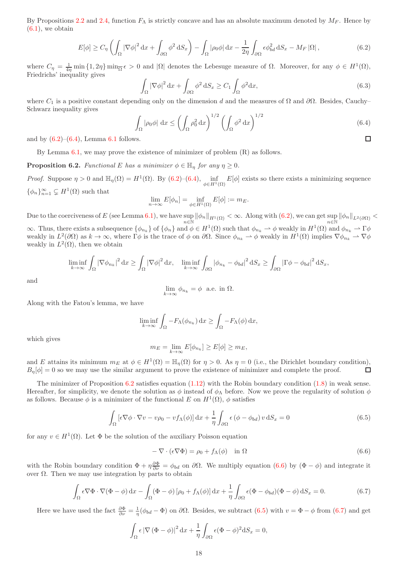By Propositions [2.2](#page-4-1) and [2.4,](#page-5-0) function  $F_{\Lambda}$  is strictly concave and has an absolute maximum denoted by  $M_F$ . Hence by  $(6.1)$ , we obtain

<span id="page-17-0"></span>
$$
E[\phi] \ge C_{\eta} \left( \int_{\Omega} |\nabla \phi|^{2} dx + \int_{\partial \Omega} \phi^{2} dS_{x} \right) - \int_{\Omega} |\rho_{0} \phi| dx - \frac{1}{2\eta} \int_{\partial \Omega} \epsilon \phi_{bd}^{2} dS_{x} - M_{F} |\Omega|,
$$
(6.2)

where  $C_{\eta} = \frac{1}{4\eta} \min\{1, 2\eta\} \min_{\overline{\Omega}} \epsilon > 0$  and  $|\Omega|$  denotes the Lebesuge measure of  $\Omega$ . Moreover, for any  $\phi \in H^1(\Omega)$ , Friedrichs' inequality gives

$$
\int_{\Omega} |\nabla \phi|^2 dx + \int_{\partial \Omega} \phi^2 dS_x \ge C_1 \int_{\Omega} \phi^2 dx,
$$
\n(6.3)

where  $C_1$  is a positive constant depending only on the dimension d and the measures of  $\Omega$  and  $\partial\Omega$ . Besides, Cauchy– Schwarz inequality gives

<span id="page-17-1"></span>
$$
\int_{\Omega} |\rho_0 \phi| \, \mathrm{d}x \le \left( \int_{\Omega} \rho_0^2 \, \mathrm{d}x \right)^{1/2} \left( \int_{\Omega} \phi^2 \, \mathrm{d}x \right)^{1/2} \tag{6.4}
$$

and by  $(6.2)$ – $(6.4)$ , Lemma [6.1](#page-16-1) follows.

By Lemma [6.1,](#page-16-1) we may prove the existence of minimizer of problem (R) as follows.

<span id="page-17-2"></span>**Proposition 6.2.** Functional E has a minimizer  $\phi \in \mathbb{H}_n$  for any  $\eta \geq 0$ .

*Proof.* Suppose  $\eta > 0$  and  $\mathbb{H}_{\eta}(\Omega) = H^1(\Omega)$ . By [\(6.2\)](#page-17-0)–[\(6.4\)](#page-17-1),  $\inf_{\phi \in H^1(\Omega)} E[\phi]$  exists so there exists a minimizing sequence  $\{\phi_n\}_{n=1}^{\infty} \subsetneq H^1(\Omega)$  such that

$$
\lim_{n \to \infty} E[\phi_n] = \inf_{\phi \in H^1(\Omega)} E[\phi] := m_E.
$$

Due to the coerciveness of E (see Lemma [6.1\)](#page-16-1), we have  $\sup_{n\in\mathbb{N}} ||\phi_n||_{H^1(\Omega)} < \infty$ . Along with  $(6.2)$ , we can get  $\sup_{n\in\mathbb{N}} ||\phi_n||_{L^2(\partial\Omega)} < \infty$ .  $\infty$ . Thus, there exists a subsequence  $\{\phi_{n_k}\}$  of  $\{\phi_n\}$  and  $\phi \in H^1(\Omega)$  such that  $\phi_{n_k} \to \phi$  weakly in  $H^1(\Omega)$  and  $\phi_{n_k} \to \Gamma \phi$ weakly in  $L^2(\partial\Omega)$  as  $k\to\infty$ , where  $\Gamma\phi$  is the trace of  $\phi$  on  $\partial\Omega$ . Since  $\phi_{n_k}\rightharpoonup \phi$  weakly in  $H^1(\Omega)$  implies  $\nabla\phi_{n_k}\rightharpoonup \nabla\phi$ weakly in  $L^2(\Omega)$ , then we obtain

$$
\liminf_{k \to \infty} \int_{\Omega} |\nabla \phi_{n_k}|^2 dx \ge \int_{\Omega} |\nabla \phi|^2 dx, \quad \liminf_{k \to \infty} \int_{\partial \Omega} |\phi_{n_k} - \phi_{bd}|^2 dS_x \ge \int_{\partial \Omega} |\Gamma \phi - \phi_{bd}|^2 dS_x,
$$

and

$$
\lim_{k \to \infty} \phi_{n_k} = \phi \text{ a.e. in } \Omega.
$$

Along with the Fatou's lemma, we have

$$
\liminf_{k \to \infty} \int_{\Omega} -F_{\Lambda}(\phi_{n_k}) \, \mathrm{d}x \ge \int_{\Omega} -F_{\Lambda}(\phi) \, \mathrm{d}x,
$$

which gives

$$
m_E = \lim_{k \to \infty} E[\phi_{n_k}] \ge E[\phi] \ge m_E,
$$

and E attains its minimum  $m_E$  at  $\phi \in H^1(\Omega) = \mathbb{H}_\eta(\Omega)$  for  $\eta > 0$ . As  $\eta = 0$  (i.e., the Dirichlet boundary condition),  $B_n[\phi] = 0$  so we may use the similar argument to prove the existence of minimizer and complete the proof.  $\Box$ 

The minimizer of Proposition  $6.2$  satisfies equation  $(1.12)$  with the Robin boundary condition  $(1.8)$  in weak sense. Hereafter, for simplicity, we denote the solution as  $\phi$  instead of  $\phi_{\Lambda}$  before. Now we prove the regularity of solution  $\phi$ as follows. Because  $\phi$  is a minimizer of the functional E on  $H^1(\Omega)$ ,  $\phi$  satisfies

<span id="page-17-4"></span>
$$
\int_{\Omega} \left[ \epsilon \nabla \phi \cdot \nabla v - v \rho_0 - v f_{\Lambda}(\phi) \right] dx + \frac{1}{\eta} \int_{\partial \Omega} \epsilon \left( \phi - \phi_{bd} \right) v dS_x = 0 \tag{6.5}
$$

for any  $v \in H^1(\Omega)$ . Let  $\Phi$  be the solution of the auxiliary Poisson equation

<span id="page-17-3"></span>
$$
-\nabla \cdot (\epsilon \nabla \Phi) = \rho_0 + f_\Lambda(\phi) \quad \text{in } \Omega \tag{6.6}
$$

with the Robin boundary condition  $\Phi + \eta \frac{\partial \Phi}{\partial \nu} = \phi_{bd}$  on  $\partial \Omega$ . We multiply equation  $(6.6)$  by  $(\Phi - \phi)$  and integrate it over  $Ω$ . Then we may use integration by parts to obtain

<span id="page-17-5"></span>
$$
\int_{\Omega} \epsilon \nabla \Phi \cdot \nabla (\Phi - \phi) dx - \int_{\Omega} (\Phi - \phi) [\rho_0 + f_{\Lambda}(\phi)] dx + \frac{1}{\eta} \int_{\partial \Omega} \epsilon (\Phi - \phi_{bd}) (\Phi - \phi) dS_x = 0.
$$
 (6.7)

Here we have used the fact  $\frac{\partial \Phi}{\partial \nu} = \frac{1}{\eta}(\phi_{bd} - \Phi)$  on  $\partial\Omega$ . Besides, we subtract  $(6.5)$  with  $v = \Phi - \phi$  from  $(6.7)$  and get

$$
\int_{\Omega} \epsilon |\nabla (\Phi - \phi)|^2 dx + \frac{1}{\eta} \int_{\partial \Omega} \epsilon (\Phi - \phi)^2 dS_x = 0,
$$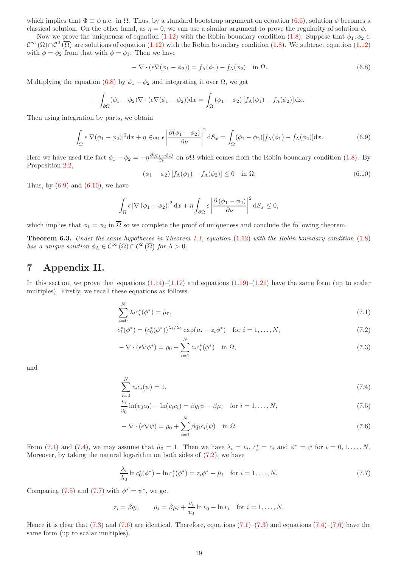which implies that  $\Phi \equiv \phi$  a.e. in  $\Omega$ . Thus, by a standard bootstrap argument on equation [\(6.6\)](#page-17-3), solution  $\phi$  becomes a classical solution. On the other hand, as  $\eta = 0$ , we can use a similar argument to prove the regularity of solution  $\phi$ .

Now we prove the uniqueness of equation [\(1.12\)](#page-1-3) with the Robin boundary condition [\(1.8\)](#page-1-7). Suppose that  $\phi_1, \phi_2 \in$  $\mathcal{C}^{\infty}(\Omega)\cap\mathcal{C}^{2}(\overline{\Omega})$  are solutions of equation [\(1.12\)](#page-1-3) with the Robin boundary condition [\(1.8\)](#page-1-7). We subtract equation (1.12) with  $\phi = \phi_2$  from that with  $\phi = \phi_1$ . Then we have

<span id="page-18-0"></span>
$$
-\nabla \cdot (\epsilon \nabla (\phi_1 - \phi_2)) = f_{\Lambda}(\phi_1) - f_{\Lambda}(\phi_2) \quad \text{in } \Omega.
$$
 (6.8)

Multiplying the equation [\(6.8\)](#page-18-0) by  $\phi_1 - \phi_2$  and integrating it over  $\Omega$ , we get

$$
-\int_{\partial\Omega} (\phi_1 - \phi_2) \nabla \cdot (\epsilon \nabla (\phi_1 - \phi_2)) \mathrm{d}x = \int_{\Omega} (\phi_1 - \phi_2) [f_{\Lambda}(\phi_1) - f_{\Lambda}(\phi_2)] \mathrm{d}x.
$$

Then using integration by parts, we obtain

<span id="page-18-1"></span>
$$
\int_{\Omega} \epsilon |\nabla(\phi_1 - \phi_2)|^2 dx + \eta \in_{\partial\Omega} \epsilon \left| \frac{\partial(\phi_1 - \phi_2)}{\partial \nu} \right|^2 dS_x = \int_{\Omega} (\phi_1 - \phi_2) [f_\Lambda(\phi_1) - f_\Lambda(\phi_2)] dx.
$$
\n(6.9)

Here we have used the fact  $\phi_1 - \phi_2 = -\eta \frac{\partial (\phi_1 - \phi_2)}{\partial \nu}$  on  $\partial \Omega$  which comes from the Robin boundary condition [\(1.8\)](#page-1-7). By Proposition [2.2,](#page-4-1)

<span id="page-18-2"></span>
$$
(\phi_1 - \phi_2) \left[ f_\Lambda(\phi_1) - f_\Lambda(\phi_2) \right] \le 0 \quad \text{in } \Omega. \tag{6.10}
$$

Thus, by  $(6.9)$  and  $(6.10)$ , we have

$$
\int_{\Omega} \epsilon \left| \nabla (\phi_1 - \phi_2) \right|^2 dx + \eta \int_{\partial \Omega} \epsilon \left| \frac{\partial (\phi_1 - \phi_2)}{\partial \nu} \right|^2 dS_x \le 0,
$$

which implies that  $\phi_1 = \phi_2$  in  $\overline{\Omega}$  so we complete the proof of uniqueness and conclude the following theorem.

**Theorem 6.3.** Under the same hypotheses in Theorem [1.1,](#page-2-5) equation  $(1.12)$  with the Robin boundary condition  $(1.8)$ has a unique solution  $\phi_{\Lambda} \in C^{\infty}(\Omega) \cap C^2(\overline{\Omega})$  for  $\Lambda > 0$ .

# 7 Appendix II.

In this section, we prove that equations  $(1.14)$ – $(1.17)$  and equations  $(1.19)$ – $(1.21)$  have the same form (up to scalar multiples). Firstly, we recall these equations as follows.

$$
\sum_{i=0}^{N} \lambda_i c_i^* (\phi^*) = \tilde{\mu}_0,
$$
\n(7.1)

$$
c_i^*(\phi^*) = (c_0^*(\phi^*))^{\lambda_i/\lambda_0} \exp(\bar{\mu}_i - z_i \phi^*) \quad \text{for } i = 1, ..., N,
$$
 (7.2)

<span id="page-18-8"></span><span id="page-18-5"></span><span id="page-18-3"></span>
$$
-\nabla \cdot (\epsilon \nabla \phi^*) = \rho_0 + \sum_{i=1}^N z_i c_i^* (\phi^*) \quad \text{in } \Omega,
$$
\n(7.3)

and

$$
\sum_{i=0}^{N} v_i c_i(\psi) = 1,\tag{7.4}
$$

$$
\frac{v_i}{v_0} \ln(v_0 c_0) - \ln(v_i c_i) = \beta q_i \psi - \beta \mu_i \quad \text{for } i = 1, ..., N,
$$
\n(7.5)

<span id="page-18-9"></span><span id="page-18-6"></span><span id="page-18-4"></span>
$$
-\nabla \cdot (\epsilon \nabla \psi) = \rho_0 + \sum_{i=1}^{N} \beta q_i c_i(\psi) \quad \text{in } \Omega.
$$
 (7.6)

From [\(7.1\)](#page-18-3) and [\(7.4\)](#page-18-4), we may assume that  $\tilde{\mu}_0 = 1$ . Then we have  $\lambda_i = v_i$ ,  $c_i^* = c_i$  and  $\phi^* = \psi$  for  $i = 0, 1, ..., N$ . Moreover, by taking the natural logarithm on both sides of [\(7.2\)](#page-18-5), we have

<span id="page-18-7"></span>
$$
\frac{\lambda_i}{\lambda_0} \ln c_0^*(\phi^*) - \ln c_i^*(\phi^*) = z_i \phi^* - \bar{\mu}_i \quad \text{for } i = 1, ..., N. \tag{7.7}
$$

Comparing [\(7.5\)](#page-18-6) and [\(7.7\)](#page-18-7) with  $\phi^* = \psi^*$ , we get

$$
z_i = \beta q_i
$$
,  $\bar{\mu}_i = \beta \mu_i + \frac{v_i}{v_0} \ln v_0 - \ln v_i$  for  $i = 1, ..., N$ .

Hence it is clear that  $(7.3)$  and  $(7.6)$  are identical. Therefore, equations  $(7.1)$ – $(7.3)$  and equations  $(7.4)$ – $(7.6)$  have the same form (up to scalar multiples).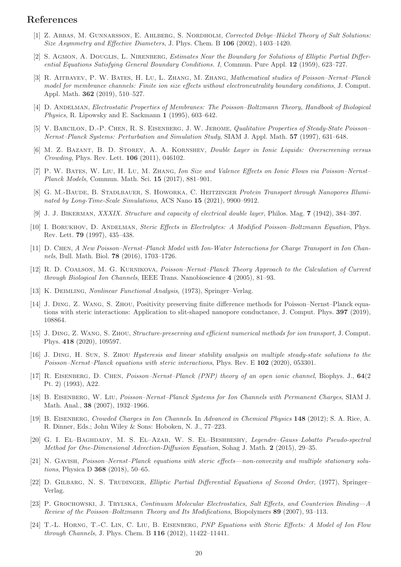## <span id="page-19-7"></span>References

- <span id="page-19-21"></span>[1] Z. ABBAS, M. GUNNARSSON, E. AHLBERG, S. NORDHOLM, Corrected Debye–Hückel Theory of Salt Solutions: Size Asymmetry and Effective Diameters, J. Phys. Chem. B 106 (2002), 1403–1420.
- [2] S. AGMON, A. DOUGLIS, L. NIRENBERG, *Estimates Near the Boundary for Solutions of Elliptic Partial Differ*ential Equations Satisfying General Boundary Conditions. I, Commun. Pure Appl. 12 (1959), 623–727.
- <span id="page-19-8"></span>[3] R. AITBAYEV, P. W. BATES, H. LU, L. ZHANG, M. ZHANG, Mathematical studies of Poisson–Nernst–Planck model for membrance channels: Finite ion size effects without electroneutrality boundary conditions, J. Comput. Appl. Math. 362 (2019), 510–527.
- <span id="page-19-3"></span><span id="page-19-2"></span>[4] D. Andelman, Electrostatic Properties of Membranes: The Poisson–Boltzmann Theory, Handbook of Biological Physics, R. Lipowsky and E. Sackmann 1 (1995), 603–642.
- [5] V. BARCILON, D.-P. CHEN, R. S. EISENBERG, J. W. JEROME, Qualitative Properties of Steady-State Poisson-Nernst–Planck Systems: Perturbation and Simulation Study, SIAM J. Appl. Math. 57 (1997), 631–648.
- <span id="page-19-9"></span>[6] M. Z. Bazant, B. D. Storey, A. A. Kornshev, Double Layer in Ionic Liquids: Overscreening versus Crowding, Phys. Rev. Lett. 106 (2011), 046102.
- <span id="page-19-10"></span>[7] P. W. Bates, W. Liu, H. Lu, M. Zhang, Ion Size and Valence Effects on Ionic Flows via Poisson–Nernst– Planck Models, Commun. Math. Sci. 15 (2017), 881–901.
- <span id="page-19-11"></span>[8] G. M.-BAUDE, B. STADLBAUER, S. HOWORKA, C. HEITZINGER Protein Transport through Nanopores Illuminated by Long-Time-Scale Simulations, ACS Nano 15 (2021), 9900–9912.
- <span id="page-19-1"></span><span id="page-19-0"></span>[9] J. J. Bikerman, XXXIX. Structure and capacity of electrical double layer, Philos. Mag. 7 (1942), 384–397.
- [10] I. BORUKHOV, D. ANDELMAN, Steric Effects in Electrolytes: A Modified Poisson–Boltzmann Equation, Phys. Rev. Lett. 79 (1997), 435–438.
- <span id="page-19-12"></span><span id="page-19-4"></span>[11] D. Chen, A New Poisson–Nernst–Planck Model with Ion-Water Interactions for Charge Transport in Ion Channels, Bull. Math. Biol. 78 (2016), 1703–1726.
- [12] R. D. Coalson, M. G. Kurnikova, Poisson–Nernst–Planck Theory Approach to the Calculation of Current through Biological Ion Channels, IEEE Trans. Nanobioscience 4 (2005), 81–93.
- <span id="page-19-20"></span><span id="page-19-13"></span>[13] K. DEIMLING, *Nonlinear Functional Analysis*, (1973), Springer–Verlag.
- [14] J. Ding, Z. Wang, S. Zhou, Positivity preserving finite difference methods for Poisson–Nernst–Planck equations with steric interactions: Application to slit-shaped nanopore conductance, J. Comput. Phys. 397 (2019), 108864.
- <span id="page-19-14"></span>[15] J. Ding, Z. Wang, S. Zhou, Structure-preserving and efficient numerical methods for ion transport, J. Comput. Phys. 418 (2020), 109597.
- <span id="page-19-19"></span>[16] J. Ding, H. Sun, S. Zhou Hysteresis and linear stability analysis on multiple steady-state solutions to the Poisson–Nernst–Planck equations with steric interactions, Phys. Rev. E 102 (2020), 053301.
- <span id="page-19-5"></span>[17] R. Eisenberg, D. Chen, Poisson–Nernst–Planck (PNP) theory of an open ionic channel, Biophys. J., 64(2 Pt. 2) (1993), A22.
- <span id="page-19-6"></span>[18] B. Eisenberg, W. Liu, Poisson–Nernst–Planck Systems for Ion Channels with Permanent Charges, SIAM J. Math. Anal., 38 (2007), 1932–1966.
- <span id="page-19-15"></span>[19] B. Eisenberg, Crowded Charges in Ion Channels. In Advanced in Chemical Physics 148 (2012); S. A. Rice, A. R. Dinner, Eds.; John Wiley & Sons: Hoboken, N. J., 77–223.
- <span id="page-19-23"></span>[20] G. I. El–Baghdady, M. S. El–Azab, W. S. El–Beshbeshy, Legendre–Gauss–Lobatto Pseudo-spectral Method for One-Dimensional Advection-Diffusion Equation, Sohag J. Math. 2 (2015), 29–35.
- <span id="page-19-16"></span>[21] N. Gavish, Poisson–Nernst–Planck equations with steric effects—non-convexity and multiple stationary solutions, Physica D 368 (2018), 50–65.
- <span id="page-19-22"></span>[22] D. GILBARG, N. S. TRUDINGER, Elliptic Partial Differential Equations of Second Order, (1977), Springer– Verlag.
- <span id="page-19-17"></span>[23] P. Grochowski, J. Trylska, Continuum Molecular Electrostatics, Salt Effects, and Counterion Binding—A Review of the Poisson–Boltzmann Theory and Its Modifications, Biopolymers 89 (2007), 93–113.
- <span id="page-19-18"></span>[24] T.-L. HORNG, T.-C. LIN, C. LIU, B. EISENBERG, PNP Equations with Steric Effects: A Model of Ion Flow through Channels, J. Phys. Chem. B 116 (2012), 11422–11441.